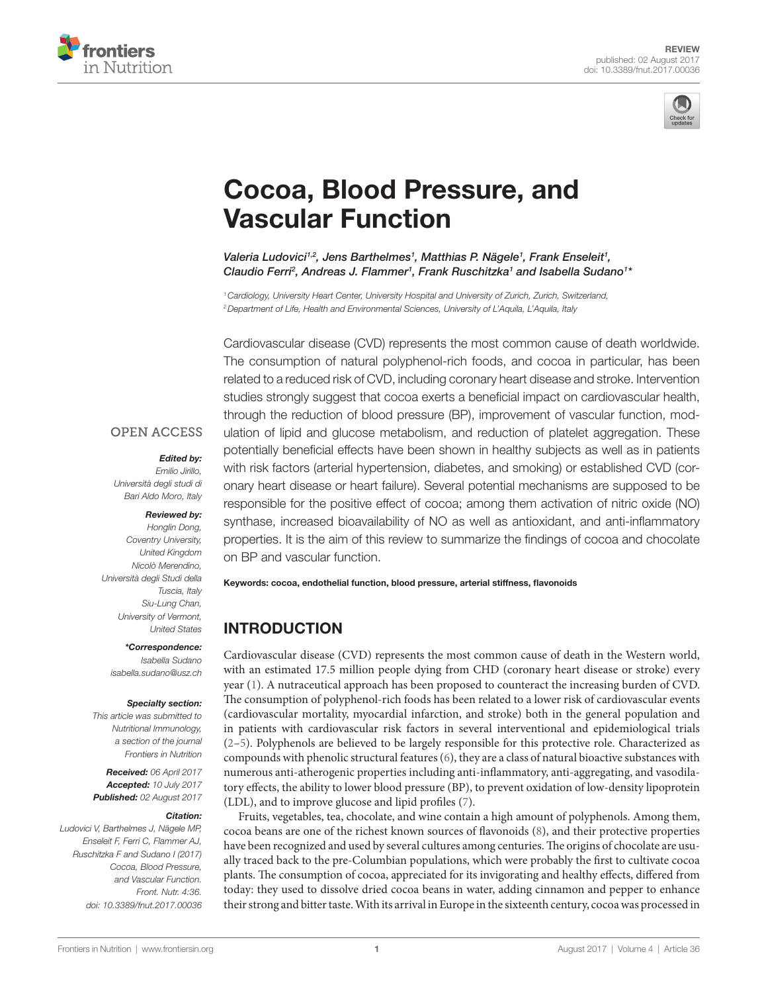



# [Cocoa, Blood Pressure, and](http://www.frontiersin.org/Journal/10.3389/fnut.2017.00036/abstract)  [vascular Function](http://www.frontiersin.org/Journal/10.3389/fnut.2017.00036/abstract)

[Valeria Ludovici](http://loop.frontiersin.org/people/426816)<sup>1,2</sup>, Jens Barthelmes<sup>1</sup>, Matthias P. Nägele<sup>1</sup>, Frank Enseleit<sup>1</sup>, Claudio Ferri<sup>2</sup>, Andreas J. Flammer<sup>1</sup>, Frank Ruschitzka<sup>1</sup> and [Isabella Sudano](http://loop.frontiersin.org/people/398089)<sup>1</sup>\*

*1Cardiology, University Heart Center, University Hospital and University of Zurich, Zurich, Switzerland, 2Department of Life, Health and Environmental Sciences, University of L'Aquila, L'Aquila, Italy*

Cardiovascular disease (CVD) represents the most common cause of death worldwide. The consumption of natural polyphenol-rich foods, and cocoa in particular, has been related to a reduced risk of CVD, including coronary heart disease and stroke. Intervention studies strongly suggest that cocoa exerts a beneficial impact on cardiovascular health, through the reduction of blood pressure (BP), improvement of vascular function, modulation of lipid and glucose metabolism, and reduction of platelet aggregation. These potentially beneficial effects have been shown in healthy subjects as well as in patients with risk factors (arterial hypertension, diabetes, and smoking) or established CVD (coronary heart disease or heart failure). Several potential mechanisms are supposed to be responsible for the positive effect of cocoa; among them activation of nitric oxide (NO) synthase, increased bioavailability of NO as well as antioxidant, and anti-inflammatory properties. It is the aim of this review to summarize the findings of cocoa and chocolate on BP and vascular function.

Keywords: cocoa, endothelial function, blood pressure, arterial stiffness, flavonoids

## INTRODUCTION

Cardiovascular disease (CVD) represents the most common cause of death in the Western world, with an estimated 17.5 million people dying from CHD (coronary heart disease or stroke) every year [\(1\)](#page-8-0). A nutraceutical approach has been proposed to counteract the increasing burden of CVD. The consumption of polyphenol-rich foods has been related to a lower risk of cardiovascular events (cardiovascular mortality, myocardial infarction, and stroke) both in the general population and in patients with cardiovascular risk factors in several interventional and epidemiological trials [\(2–](#page-8-1)[5](#page-8-2)). Polyphenols are believed to be largely responsible for this protective role. Characterized as compounds with phenolic structural features ([6](#page-8-3)), they are a class of natural bioactive substances with numerous anti-atherogenic properties including anti-inflammatory, anti-aggregating, and vasodilatory effects, the ability to lower blood pressure (BP), to prevent oxidation of low-density lipoprotein (LDL), and to improve glucose and lipid profiles [\(7\)](#page-8-4).

Fruits, vegetables, tea, chocolate, and wine contain a high amount of polyphenols. Among them, cocoa beans are one of the richest known sources of flavonoids [\(8\)](#page-8-5), and their protective properties have been recognized and used by several cultures among centuries. The origins of chocolate are usually traced back to the pre-Columbian populations, which were probably the first to cultivate cocoa plants. The consumption of cocoa, appreciated for its invigorating and healthy effects, differed from today: they used to dissolve dried cocoa beans in water, adding cinnamon and pepper to enhance their strong and bitter taste. With its arrival in Europe in the sixteenth century, cocoa was processed in

#### **OPEN ACCESS**

#### *Edited by:*

*Emilio Jirillo, Università degli studi di Bari Aldo Moro, Italy*

#### *Reviewed by:*

*Honglin Dong, Coventry University, United Kingdom Nicolò Merendino, Università degli Studi della Tuscia, Italy Siu-Lung Chan, University of Vermont, United States*

*\*Correspondence:*

*Isabella Sudano [isabella.sudano@usz.ch](mailto:isabella.sudano@usz.ch)*

#### *Specialty section:*

*This article was submitted to Nutritional Immunology, a section of the journal Frontiers in Nutrition*

*Received: 06 April 2017 Accepted: 10 July 2017 Published: 02 August 2017*

#### *Citation:*

*Ludovici V, Barthelmes J, Nägele MP, Enseleit F, Ferri C, Flammer AJ, Ruschitzka F and Sudano I (2017) Cocoa, Blood Pressure, and Vascular Function. Front. Nutr. 4:36. doi: [10.3389/fnut.2017.00036](https://doi.org/10.3389/fnut.2017.00036)*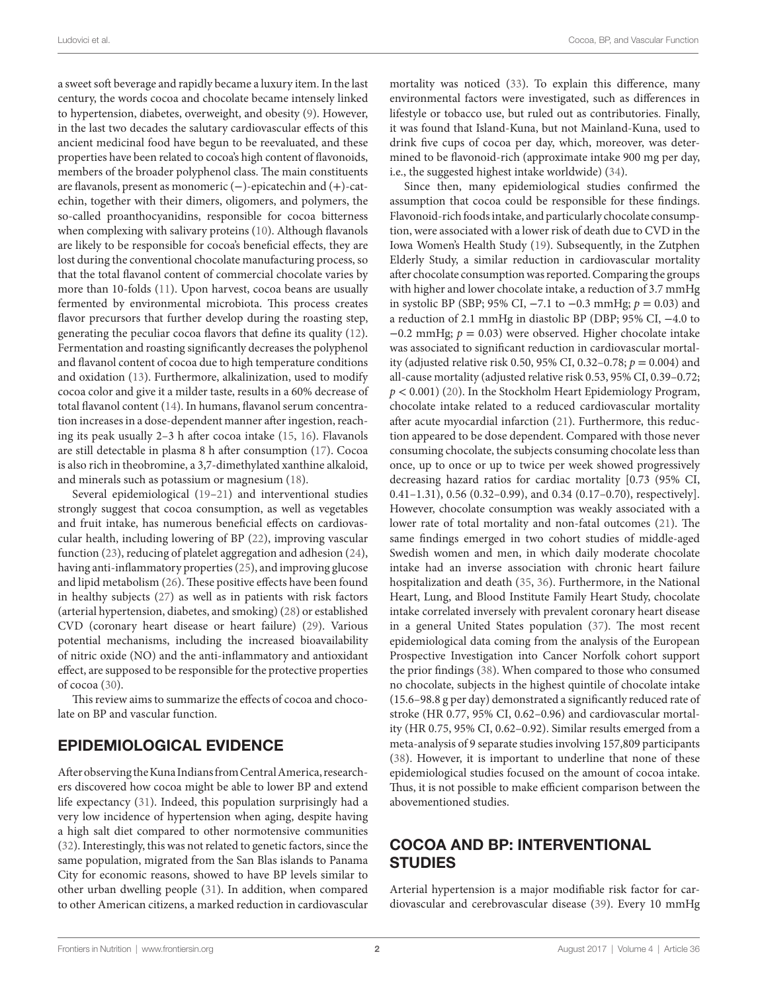a sweet soft beverage and rapidly became a luxury item. In the last century, the words cocoa and chocolate became intensely linked to hypertension, diabetes, overweight, and obesity [\(9\)](#page-8-6). However, in the last two decades the salutary cardiovascular effects of this ancient medicinal food have begun to be reevaluated, and these properties have been related to cocoa's high content of flavonoids, members of the broader polyphenol class. The main constituents are flavanols, present as monomeric (−)-epicatechin and (+)-catechin, together with their dimers, oligomers, and polymers, the so-called proanthocyanidins, responsible for cocoa bitterness when complexing with salivary proteins ([10](#page-8-7)). Although flavanols are likely to be responsible for cocoa's beneficial effects, they are lost during the conventional chocolate manufacturing process, so that the total flavanol content of commercial chocolate varies by more than 10-folds ([11\)](#page-8-8). Upon harvest, cocoa beans are usually fermented by environmental microbiota. This process creates flavor precursors that further develop during the roasting step, generating the peculiar cocoa flavors that define its quality ([12\)](#page-8-9). Fermentation and roasting significantly decreases the polyphenol and flavanol content of cocoa due to high temperature conditions and oxidation [\(13](#page-8-10)). Furthermore, alkalinization, used to modify cocoa color and give it a milder taste, results in a 60% decrease of total flavanol content ([14\)](#page-8-11). In humans, flavanol serum concentration increases in a dose-dependent manner after ingestion, reaching its peak usually 2–3 h after cocoa intake ([15,](#page-8-12) [16](#page-8-13)). Flavanols are still detectable in plasma 8 h after consumption [\(17\)](#page-8-14). Cocoa is also rich in theobromine, a 3,7-dimethylated xanthine alkaloid, and minerals such as potassium or magnesium ([18](#page-8-15)).

Several epidemiological [\(19](#page-8-16)[–21](#page-8-17)) and interventional studies strongly suggest that cocoa consumption, as well as vegetables and fruit intake, has numerous beneficial effects on cardiovascular health, including lowering of BP [\(22](#page-8-18)), improving vascular function ([23](#page-8-19)), reducing of platelet aggregation and adhesion ([24\)](#page-8-20), having anti-inflammatory properties ([25\)](#page-8-21), and improving glucose and lipid metabolism [\(26](#page-8-22)). These positive effects have been found in healthy subjects ([27\)](#page-9-0) as well as in patients with risk factors (arterial hypertension, diabetes, and smoking) [\(28](#page-9-1)) or established CVD (coronary heart disease or heart failure) ([29\)](#page-9-2). Various potential mechanisms, including the increased bioavailability of nitric oxide (NO) and the anti-inflammatory and antioxidant effect, are supposed to be responsible for the protective properties of cocoa ([30\)](#page-9-3).

This review aims to summarize the effects of cocoa and chocolate on BP and vascular function.

## EPIDEMIOLOGICAL EVIDENCE

After observing the Kuna Indians from Central America, researchers discovered how cocoa might be able to lower BP and extend life expectancy ([31\)](#page-9-4). Indeed, this population surprisingly had a very low incidence of hypertension when aging, despite having a high salt diet compared to other normotensive communities ([32\)](#page-9-5). Interestingly, this was not related to genetic factors, since the same population, migrated from the San Blas islands to Panama City for economic reasons, showed to have BP levels similar to other urban dwelling people [\(31](#page-9-4)). In addition, when compared to other American citizens, a marked reduction in cardiovascular mortality was noticed ([33\)](#page-9-6). To explain this difference, many environmental factors were investigated, such as differences in lifestyle or tobacco use, but ruled out as contributories. Finally, it was found that Island-Kuna, but not Mainland-Kuna, used to drink five cups of cocoa per day, which, moreover, was determined to be flavonoid-rich (approximate intake 900 mg per day, i.e., the suggested highest intake worldwide) [\(34\)](#page-9-7).

Since then, many epidemiological studies confirmed the assumption that cocoa could be responsible for these findings. Flavonoid-rich foods intake, and particularly chocolate consumption, were associated with a lower risk of death due to CVD in the Iowa Women's Health Study [\(19](#page-8-16)). Subsequently, in the Zutphen Elderly Study, a similar reduction in cardiovascular mortality after chocolate consumption was reported. Comparing the groups with higher and lower chocolate intake, a reduction of 3.7 mmHg in systolic BP (SBP; 95% CI, −7.1 to −0.3 mmHg; *p* = 0.03) and a reduction of 2.1 mmHg in diastolic BP (DBP; 95% CI, −4.0 to −0.2 mmHg; *p* = 0.03) were observed. Higher chocolate intake was associated to significant reduction in cardiovascular mortality (adjusted relative risk 0.50, 95% CI, 0.32–0.78; *p* = 0.004) and all-cause mortality (adjusted relative risk 0.53, 95% CI, 0.39–0.72; *p* < 0.001) ([20\)](#page-8-23). In the Stockholm Heart Epidemiology Program, chocolate intake related to a reduced cardiovascular mortality after acute myocardial infarction [\(21](#page-8-17)). Furthermore, this reduction appeared to be dose dependent. Compared with those never consuming chocolate, the subjects consuming chocolate less than once, up to once or up to twice per week showed progressively decreasing hazard ratios for cardiac mortality [0.73 (95% CI, 0.41–1.31), 0.56 (0.32–0.99), and 0.34 (0.17–0.70), respectively]. However, chocolate consumption was weakly associated with a lower rate of total mortality and non-fatal outcomes ([21\)](#page-8-17). The same findings emerged in two cohort studies of middle-aged Swedish women and men, in which daily moderate chocolate intake had an inverse association with chronic heart failure hospitalization and death [\(35](#page-9-8), [36](#page-9-9)). Furthermore, in the National Heart, Lung, and Blood Institute Family Heart Study, chocolate intake correlated inversely with prevalent coronary heart disease in a general United States population [\(37](#page-9-10)). The most recent epidemiological data coming from the analysis of the European Prospective Investigation into Cancer Norfolk cohort support the prior findings ([38\)](#page-9-11). When compared to those who consumed no chocolate, subjects in the highest quintile of chocolate intake (15.6–98.8 g per day) demonstrated a significantly reduced rate of stroke (HR 0.77, 95% CI, 0.62–0.96) and cardiovascular mortality (HR 0.75, 95% CI, 0.62–0.92). Similar results emerged from a meta-analysis of 9 separate studies involving 157,809 participants [\(38\)](#page-9-11). However, it is important to underline that none of these epidemiological studies focused on the amount of cocoa intake. Thus, it is not possible to make efficient comparison between the abovementioned studies.

#### COCOA AND BP: INTERVENTIONAL **STUDIES**

Arterial hypertension is a major modifiable risk factor for cardiovascular and cerebrovascular disease [\(39](#page-9-12)). Every 10 mmHg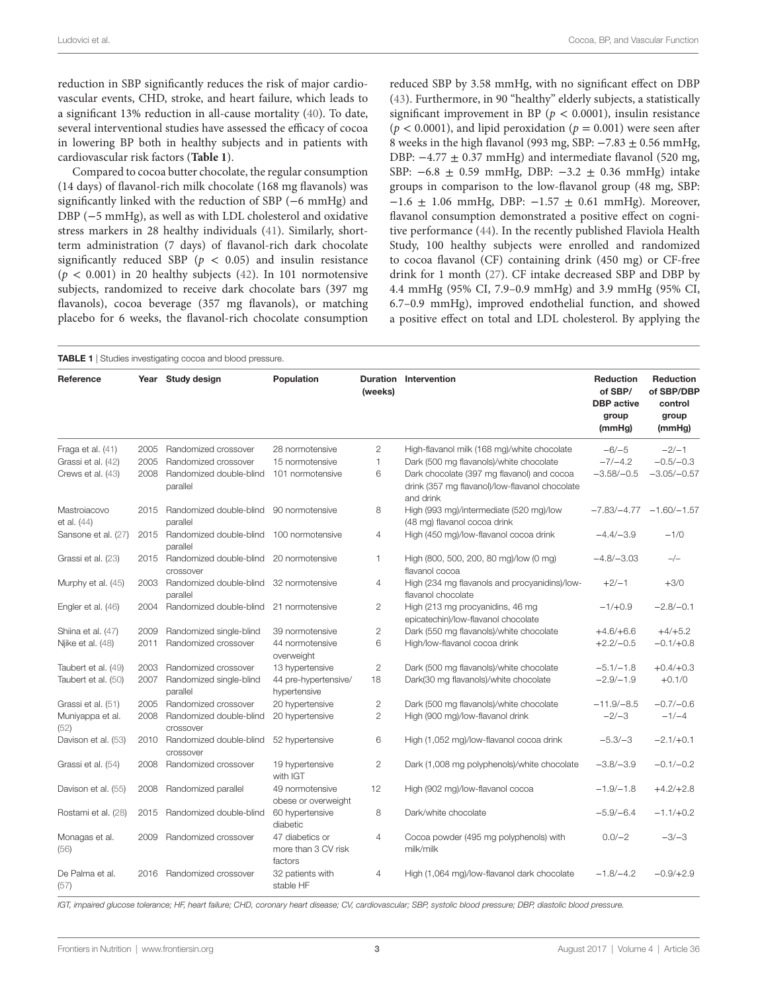reduction in SBP significantly reduces the risk of major cardiovascular events, CHD, stroke, and heart failure, which leads to a significant 13% reduction in all-cause mortality [\(40](#page-9-30)). To date, several interventional studies have assessed the efficacy of cocoa in lowering BP both in healthy subjects and in patients with cardiovascular risk factors (**[Table 1](#page-2-0)**).

Compared to cocoa butter chocolate, the regular consumption (14 days) of flavanol-rich milk chocolate (168 mg flavanols) was significantly linked with the reduction of SBP (−6 mmHg) and DBP (−5 mmHg), as well as with LDL cholesterol and oxidative stress markers in 28 healthy individuals ([41\)](#page-9-13). Similarly, shortterm administration (7 days) of flavanol-rich dark chocolate significantly reduced SBP ( $p < 0.05$ ) and insulin resistance  $(p < 0.001)$  in 20 healthy subjects  $(42)$  $(42)$ . In 101 normotensive subjects, randomized to receive dark chocolate bars (397 mg flavanols), cocoa beverage (357 mg flavanols), or matching placebo for 6 weeks, the flavanol-rich chocolate consumption reduced SBP by 3.58 mmHg, with no significant effect on DBP [\(43\)](#page-9-15). Furthermore, in 90 "healthy" elderly subjects, a statistically significant improvement in BP ( $p < 0.0001$ ), insulin resistance  $(p < 0.0001)$ , and lipid peroxidation  $(p = 0.001)$  were seen after 8 weeks in the high flavanol (993 mg, SBP: −7.83 ± 0.56 mmHg, DBP:  $-4.77 \pm 0.37$  mmHg) and intermediate flavanol (520 mg, SBP: −6.8 ± 0.59 mmHg, DBP: −3.2 ± 0.36 mmHg) intake groups in comparison to the low-flavanol group (48 mg, SBP:  $-1.6 \pm 1.06$  mmHg, DBP:  $-1.57 \pm 0.61$  mmHg). Moreover, flavanol consumption demonstrated a positive effect on cognitive performance [\(44](#page-9-16)). In the recently published Flaviola Health Study, 100 healthy subjects were enrolled and randomized to cocoa flavanol (CF) containing drink (450 mg) or CF-free drink for 1 month [\(27\)](#page-9-0). CF intake decreased SBP and DBP by 4.4 mmHg (95% CI, 7.9–0.9 mmHg) and 3.9 mmHg (95% CI, 6.7–0.9 mmHg), improved endothelial function, and showed a positive effect on total and LDL cholesterol. By applying the

<span id="page-2-0"></span>

| Reference                   |      | Year Study design                    | Population                                        | (weeks)        | <b>Duration Intervention</b>                                                                              | Reduction<br>of SBP/<br><b>DBP</b> active<br>group | Reduction<br>of SBP/DBP<br>control<br>group |
|-----------------------------|------|--------------------------------------|---------------------------------------------------|----------------|-----------------------------------------------------------------------------------------------------------|----------------------------------------------------|---------------------------------------------|
|                             |      |                                      |                                                   |                |                                                                                                           | (mmHg)                                             | (mmHg)                                      |
| Fraga et al. (41)           | 2005 | Randomized crossover                 | 28 normotensive                                   | 2              | High-flavanol milk (168 mg)/white chocolate                                                               | $-6/-5$                                            | $-2/-1$                                     |
| Grassi et al. (42)          | 2005 | Randomized crossover                 | 15 normotensive                                   | $\mathbf{1}$   | Dark (500 mg flavanols)/white chocolate                                                                   | $-7/-4.2$                                          | $-0.5/-0.3$                                 |
| Crews et al. (43)           | 2008 | Randomized double-blind<br>parallel  | 101 normotensive                                  | 6              | Dark chocolate (397 mg flavanol) and cocoa<br>drink (357 mg flavanol)/low-flavanol chocolate<br>and drink | $-3.58/-0.5$                                       | $-3.05/-0.57$                               |
| Mastroiacovo<br>et al. (44) | 2015 | Randomized double-blind<br>parallel  | 90 normotensive                                   | 8              | High (993 mg)/intermediate (520 mg)/low<br>(48 mg) flavanol cocoa drink                                   |                                                    | $-7.83/-4.77 -1.60/-1.57$                   |
| Sansone et al. (27)         | 2015 | Randomized double-blind<br>parallel  | 100 normotensive                                  | $\overline{4}$ | High (450 mg)/low-flavanol cocoa drink                                                                    | $-4.4/-3.9$                                        | $-1/0$                                      |
| Grassi et al. (23)          | 2015 | Randomized double-blind<br>crossover | 20 normotensive                                   | $\mathbf{1}$   | High (800, 500, 200, 80 mg)/low (0 mg)<br>flavanol cocoa                                                  | $-4.8/-3.03$                                       | $-/-$                                       |
| Murphy et al. (45)          | 2003 | Randomized double-blind<br>parallel  | 32 normotensive                                   | 4              | High (234 mg flavanols and procyanidins)/low-<br>flavanol chocolate                                       | $+2/-1$                                            | $+3/0$                                      |
| Engler et al. (46)          | 2004 | Randomized double-blind              | 21 normotensive                                   | 2              | High (213 mg procyanidins, 46 mg<br>epicatechin)/low-flavanol chocolate                                   | $-1/+0.9$                                          | $-2.8/-0.1$                                 |
| Shiina et al. (47)          | 2009 | Randomized single-blind              | 39 normotensive                                   | $\overline{c}$ | Dark (550 mg flavanols)/white chocolate                                                                   | $+4.6/+6.6$                                        | $+4/+5.2$                                   |
| Njike et al. (48)           | 2011 | Randomized crossover                 | 44 normotensive<br>overweight                     | 6              | High/low-flavanol cocoa drink                                                                             | $+2.2/-0.5$                                        | $-0.1/+0.8$                                 |
| Taubert et al. (49)         | 2003 | Randomized crossover                 | 13 hypertensive                                   | $\mathbf{2}$   | Dark (500 mg flavanols)/white chocolate                                                                   | $-5.1/-1.8$                                        | $+0.4/+0.3$                                 |
| Taubert et al. (50)         | 2007 | Randomized single-blind<br>parallel  | 44 pre-hypertensive/<br>hypertensive              | 18             | Dark(30 mg flavanols)/white chocolate                                                                     | $-2.9/-1.9$                                        | $+0.1/0$                                    |
| Grassi et al. (51)          | 2005 | Randomized crossover                 | 20 hypertensive                                   | 2              | Dark (500 mg flavanols)/white chocolate                                                                   | $-11.9/-8.5$                                       | $-0.7/-0.6$                                 |
| Muniyappa et al.<br>(52)    | 2008 | Randomized double-blind<br>crossover | 20 hypertensive                                   | $\overline{2}$ | High (900 mg)/low-flavanol drink                                                                          | $-2/-3$                                            | $-1/-4$                                     |
| Davison et al. (53)         | 2010 | Randomized double-blind<br>crossover | 52 hypertensive                                   | 6              | High (1,052 mg)/low-flavanol cocoa drink                                                                  | $-5.3/-3$                                          | $-2.1/+0.1$                                 |
| Grassi et al. (54)          | 2008 | Randomized crossover                 | 19 hypertensive<br>with IGT                       | 2              | Dark (1,008 mg polyphenols)/white chocolate                                                               | $-3.8/-3.9$                                        | $-0.1/-0.2$                                 |
| Davison et al. (55)         | 2008 | Randomized parallel                  | 49 normotensive<br>obese or overweight            | 12             | High (902 mg)/low-flavanol cocoa                                                                          | $-1.9/-1.8$                                        | $+4.2/+2.8$                                 |
| Rostami et al. (28)         | 2015 | Randomized double-blind              | 60 hypertensive<br>diabetic                       | 8              | Dark/white chocolate                                                                                      | $-5.9/-6.4$                                        | $-1.1/+0.2$                                 |
| Monagas et al.<br>(56)      | 2009 | Randomized crossover                 | 47 diabetics or<br>more than 3 CV risk<br>factors | $\overline{4}$ | Cocoa powder (495 mg polyphenols) with<br>milk/milk                                                       | $0.0/-2$                                           | $-3/-3$                                     |
| De Palma et al.<br>(57)     | 2016 | Randomized crossover                 | 32 patients with<br>stable HF                     | 4              | High (1,064 mg)/low-flavanol dark chocolate                                                               | $-1.8/-4.2$                                        | $-0.9/+2.9$                                 |

*IGT, impaired glucose tolerance; HF, heart failure; CHD, coronary heart disease; CV, cardiovascular; SBP, systolic blood pressure; DBP, diastolic blood pressure.*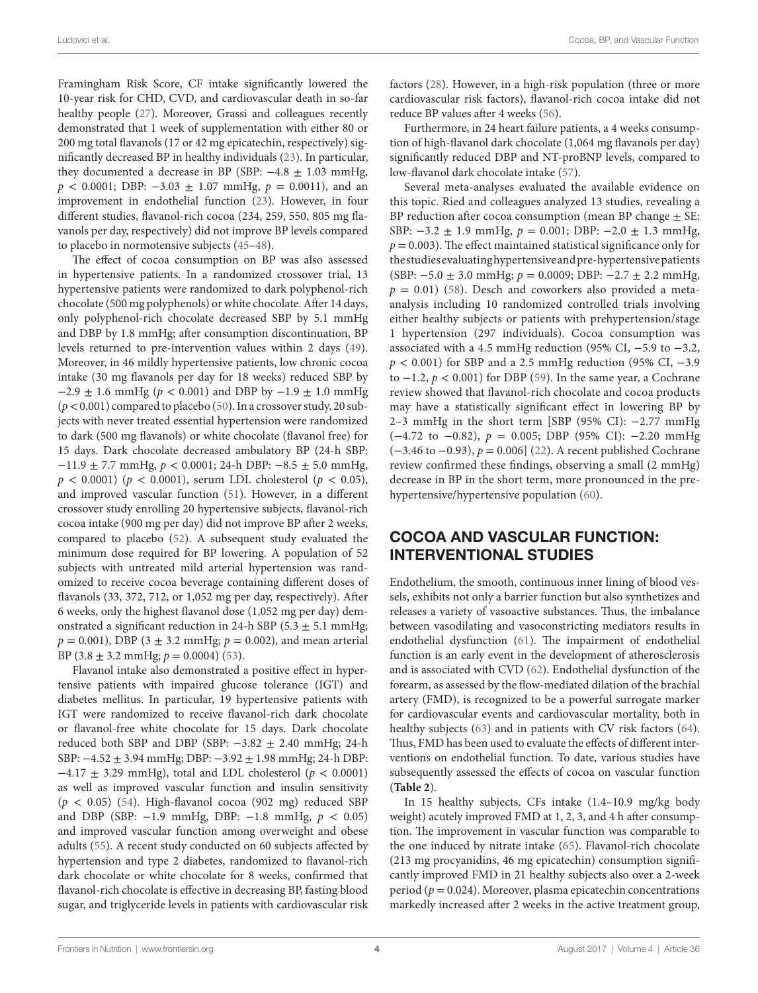Ludovici et al. Cocoa, BP, and Vascular Function

Framingham Risk Score, CF intake significantly lowered the 10-year risk for CHD, CVD, and cardiovascular death in so-far healthy people [\(27\)](#page-9-0). Moreover, Grassi and colleagues recently demonstrated that 1 week of supplementation with either 80 or 200 mg total flavanols (17 or 42 mg epicatechin, respectively) significantly decreased BP in healthy individuals [\(23](#page-8-19)). In particular, they documented a decrease in BP (SBP:  $-4.8 \pm 1.03$  mmHg,  $p < 0.0001$ ; DBP:  $-3.03 \pm 1.07$  mmHg,  $p = 0.0011$ ), and an improvement in endothelial function [\(23](#page-8-19)). However, in four different studies, flavanol-rich cocoa (234, 259, 550, 805 mg flavanols per day, respectively) did not improve BP levels compared to placebo in normotensive subjects ([45–](#page-9-17)[48\)](#page-9-20).

The effect of cocoa consumption on BP was also assessed in hypertensive patients. In a randomized crossover trial, 13 hypertensive patients were randomized to dark polyphenol-rich chocolate (500 mg polyphenols) or white chocolate. After 14 days, only polyphenol-rich chocolate decreased SBP by 5.1 mmHg and DBP by 1.8 mmHg; after consumption discontinuation, BP levels returned to pre-intervention values within 2 days ([49\)](#page-9-21). Moreover, in 46 mildly hypertensive patients, low chronic cocoa intake (30 mg flavanols per day for 18 weeks) reduced SBP by −2.9 ± 1.6 mmHg (*p* < 0.001) and DBP by −1.9 ± 1.0 mmHg  $(p < 0.001)$  compared to placebo [\(50](#page-9-22)). In a crossover study, 20 subjects with never treated essential hypertension were randomized to dark (500 mg flavanols) or white chocolate (flavanol free) for 15 days. Dark chocolate decreased ambulatory BP (24-h SBP: −11.9 ± 7.7 mmHg, *p* < 0.0001; 24-h DBP: −8.5 ± 5.0 mmHg,  $p < 0.0001$ ) ( $p < 0.0001$ ), serum LDL cholesterol ( $p < 0.05$ ), and improved vascular function [\(51](#page-9-23)). However, in a different crossover study enrolling 20 hypertensive subjects, flavanol-rich cocoa intake (900 mg per day) did not improve BP after 2 weeks, compared to placebo ([52](#page-9-24)). A subsequent study evaluated the minimum dose required for BP lowering. A population of 52 subjects with untreated mild arterial hypertension was randomized to receive cocoa beverage containing different doses of flavanols (33, 372, 712, or 1,052 mg per day, respectively). After 6 weeks, only the highest flavanol dose (1,052 mg per day) demonstrated a significant reduction in 24-h SBP (5.3  $\pm$  5.1 mmHg;  $p = 0.001$ ), DBP (3  $\pm$  3.2 mmHg;  $p = 0.002$ ), and mean arterial BP (3.8  $\pm$  3.2 mmHg;  $p = 0.0004$ ) ([53\)](#page-9-25).

Flavanol intake also demonstrated a positive effect in hypertensive patients with impaired glucose tolerance (IGT) and diabetes mellitus. In particular, 19 hypertensive patients with IGT were randomized to receive flavanol-rich dark chocolate or flavanol-free white chocolate for 15 days. Dark chocolate reduced both SBP and DBP (SBP:  $-3.82 \pm 2.40$  mmHg; 24-h SBP: −4.52 ± 3.94 mmHg; DBP: −3.92 ± 1.98 mmHg; 24-h DBP: −4.17 ± 3.29 mmHg), total and LDL cholesterol (*p* < 0.0001) as well as improved vascular function and insulin sensitivity (*p* < 0.05) [\(54](#page-9-26)). High-flavanol cocoa (902 mg) reduced SBP and DBP (SBP: −1.9 mmHg, DBP: −1.8 mmHg, *p* < 0.05) and improved vascular function among overweight and obese adults ([55](#page-9-27)). A recent study conducted on 60 subjects affected by hypertension and type 2 diabetes, randomized to flavanol-rich dark chocolate or white chocolate for 8 weeks, confirmed that flavanol-rich chocolate is effective in decreasing BP, fasting blood sugar, and triglyceride levels in patients with cardiovascular risk factors ([28\)](#page-9-1). However, in a high-risk population (three or more cardiovascular risk factors), flavanol-rich cocoa intake did not reduce BP values after 4 weeks ([56\)](#page-9-28).

Furthermore, in 24 heart failure patients, a 4 weeks consumption of high-flavanol dark chocolate (1,064 mg flavanols per day) significantly reduced DBP and NT-proBNP levels, compared to low-flavanol dark chocolate intake ([57\)](#page-9-29).

Several meta-analyses evaluated the available evidence on this topic. Ried and colleagues analyzed 13 studies, revealing a BP reduction after cocoa consumption (mean BP change  $\pm$  SE: SBP:  $-3.2 \pm 1.9$  mmHg,  $p = 0.001$ ; DBP:  $-2.0 \pm 1.3$  mmHg,  $p = 0.003$ ). The effect maintained statistical significance only for the studies evaluating hypertensive and pre-hypertensive patients (SBP: −5.0 ± 3.0 mmHg; *p* = 0.0009; DBP: −2.7 ± 2.2 mmHg,  $p = 0.01$ ) [\(58](#page-9-31)). Desch and coworkers also provided a metaanalysis including 10 randomized controlled trials involving either healthy subjects or patients with prehypertension/stage 1 hypertension (297 individuals). Cocoa consumption was associated with a 4.5 mmHg reduction (95% CI, −5.9 to −3.2, *p* < 0.001) for SBP and a 2.5 mmHg reduction (95% CI, −3.9 to −1.2, *p* < 0.001) for DBP ([59](#page-9-32)). In the same year, a Cochrane review showed that flavanol-rich chocolate and cocoa products may have a statistically significant effect in lowering BP by 2–3 mmHg in the short term [SBP (95% CI): −2.77 mmHg  $(-4.72 \text{ to } -0.82)$ ,  $p = 0.005$ ; DBP (95% CI):  $-2.20 \text{ mmHg}$ (−3.46 to −0.93), *p* = 0.006] [\(22](#page-8-18)). A recent published Cochrane review confirmed these findings, observing a small (2 mmHg) decrease in BP in the short term, more pronounced in the prehypertensive/hypertensive population ([60\)](#page-9-33).

## COCOA AND VASCULAR FUNCTION: INTERVENTIONAL STUDIES

Endothelium, the smooth, continuous inner lining of blood vessels, exhibits not only a barrier function but also synthetizes and releases a variety of vasoactive substances. Thus, the imbalance between vasodilating and vasoconstricting mediators results in endothelial dysfunction ([61](#page-9-34)). The impairment of endothelial function is an early event in the development of atherosclerosis and is associated with CVD [\(62](#page-9-35)). Endothelial dysfunction of the forearm, as assessed by the flow-mediated dilation of the brachial artery (FMD), is recognized to be a powerful surrogate marker for cardiovascular events and cardiovascular mortality, both in healthy subjects ([63\)](#page-9-36) and in patients with CV risk factors [\(64](#page-9-37)). Thus, FMD has been used to evaluate the effects of different interventions on endothelial function. To date, various studies have subsequently assessed the effects of cocoa on vascular function (**[Table 2](#page-4-0)**).

In 15 healthy subjects, CFs intake (1.4–10.9 mg/kg body weight) acutely improved FMD at 1, 2, 3, and 4 h after consumption. The improvement in vascular function was comparable to the one induced by nitrate intake [\(65](#page-10-0)). Flavanol-rich chocolate (213 mg procyanidins, 46 mg epicatechin) consumption significantly improved FMD in 21 healthy subjects also over a 2-week period ( $p = 0.024$ ). Moreover, plasma epicatechin concentrations markedly increased after 2 weeks in the active treatment group,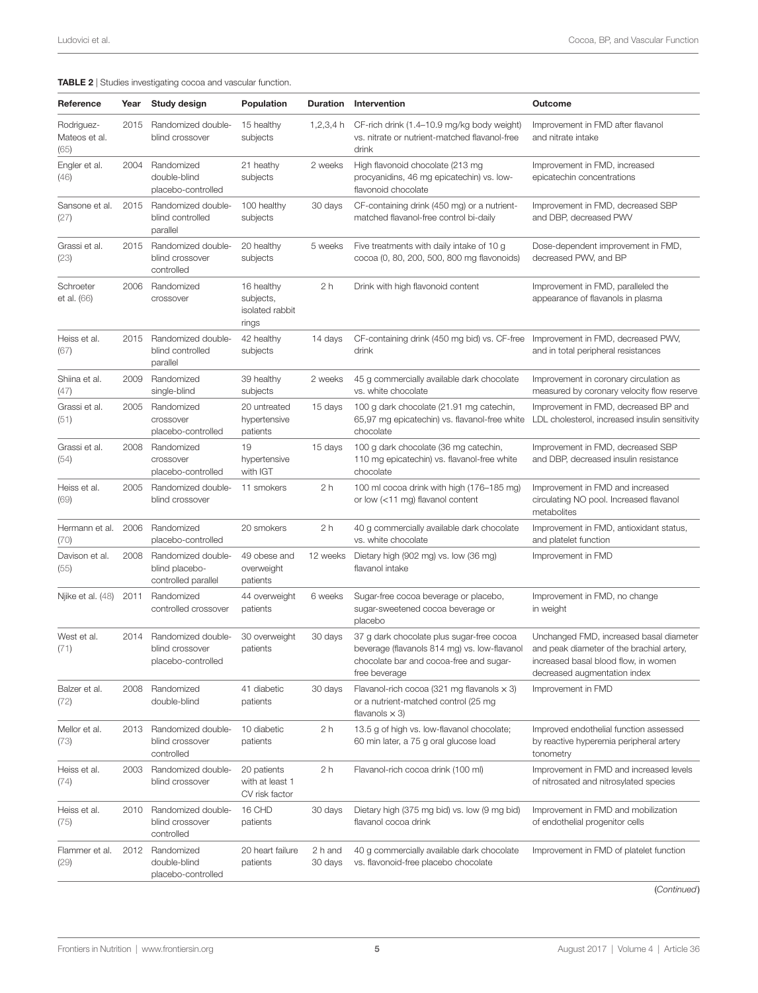<span id="page-4-0"></span>TABLE 2 | Studies investigating cocoa and vascular function.

| Reference                           | Year | Study design                                                | Population                                          | <b>Duration</b>    | Intervention                                                                                                                                          | Outcome                                                                                                                                                      |
|-------------------------------------|------|-------------------------------------------------------------|-----------------------------------------------------|--------------------|-------------------------------------------------------------------------------------------------------------------------------------------------------|--------------------------------------------------------------------------------------------------------------------------------------------------------------|
| Rodriguez-<br>Mateos et al.<br>(65) | 2015 | Randomized double-<br>blind crossover                       | 15 healthy<br>subjects                              | 1,2,3,4 h          | CF-rich drink (1.4–10.9 mg/kg body weight)<br>vs. nitrate or nutrient-matched flavanol-free<br>drink                                                  | Improvement in FMD after flavanol<br>and nitrate intake                                                                                                      |
| Engler et al.<br>(46)               | 2004 | Randomized<br>double-blind<br>placebo-controlled            | 21 heathy<br>subjects                               | 2 weeks            | High flavonoid chocolate (213 mg<br>procyanidins, 46 mg epicatechin) vs. low-<br>flavonoid chocolate                                                  | Improvement in FMD, increased<br>epicatechin concentrations                                                                                                  |
| Sansone et al.<br>(27)              | 2015 | Randomized double-<br>blind controlled<br>parallel          | 100 healthy<br>subjects                             | 30 days            | CF-containing drink (450 mg) or a nutrient-<br>matched flavanol-free control bi-daily                                                                 | Improvement in FMD, decreased SBP<br>and DBP, decreased PWV                                                                                                  |
| Grassi et al.<br>(23)               | 2015 | Randomized double-<br>blind crossover<br>controlled         | 20 healthy<br>subjects                              | 5 weeks            | Five treatments with daily intake of 10 g<br>cocoa (0, 80, 200, 500, 800 mg flavonoids)                                                               | Dose-dependent improvement in FMD,<br>decreased PWV, and BP                                                                                                  |
| Schroeter<br>et al. (66)            | 2006 | Randomized<br>crossover                                     | 16 healthy<br>subjects,<br>isolated rabbit<br>rings | 2 h                | Drink with high flavonoid content                                                                                                                     | Improvement in FMD, paralleled the<br>appearance of flavanols in plasma                                                                                      |
| Heiss et al.<br>(67)                | 2015 | Randomized double-<br>blind controlled<br>parallel          | 42 healthy<br>subjects                              | 14 days            | CF-containing drink (450 mg bid) vs. CF-free<br>drink                                                                                                 | Improvement in FMD, decreased PWV,<br>and in total peripheral resistances                                                                                    |
| Shiina et al.<br>(47)               | 2009 | Randomized<br>single-blind                                  | 39 healthy<br>subjects                              | 2 weeks            | 45 g commercially available dark chocolate<br>vs. white chocolate                                                                                     | Improvement in coronary circulation as<br>measured by coronary velocity flow reserve                                                                         |
| Grassi et al.<br>(51)               | 2005 | Randomized<br>crossover<br>placebo-controlled               | 20 untreated<br>hypertensive<br>patients            | 15 days            | 100 g dark chocolate (21.91 mg catechin,<br>65,97 mg epicatechin) vs. flavanol-free white LDL cholesterol, increased insulin sensitivity<br>chocolate | Improvement in FMD, decreased BP and                                                                                                                         |
| Grassi et al.<br>(54)               | 2008 | Randomized<br>crossover<br>placebo-controlled               | 19<br>hypertensive<br>with IGT                      | 15 days            | 100 g dark chocolate (36 mg catechin,<br>110 mg epicatechin) vs. flavanol-free white<br>chocolate                                                     | Improvement in FMD, decreased SBP<br>and DBP, decreased insulin resistance                                                                                   |
| Heiss et al.<br>(69)                | 2005 | Randomized double-<br>blind crossover                       | 11 smokers                                          | 2 <sub>h</sub>     | 100 ml cocoa drink with high (176-185 mg)<br>or low (<11 mg) flavanol content                                                                         | Improvement in FMD and increased<br>circulating NO pool. Increased flavanol<br>metabolites                                                                   |
| Hermann et al. 2006<br>(70)         |      | Randomized<br>placebo-controlled                            | 20 smokers                                          | 2 h                | 40 g commercially available dark chocolate<br>vs. white chocolate                                                                                     | Improvement in FMD, antioxidant status,<br>and platelet function                                                                                             |
| Davison et al.<br>(55)              | 2008 | Randomized double-<br>blind placebo-<br>controlled parallel | 49 obese and<br>overweight<br>patients              | 12 weeks           | Dietary high (902 mg) vs. low (36 mg)<br>flavanol intake                                                                                              | Improvement in FMD                                                                                                                                           |
| Njike et al. (48)                   | 2011 | Randomized<br>controlled crossover                          | 44 overweight<br>patients                           | 6 weeks            | Sugar-free cocoa beverage or placebo,<br>sugar-sweetened cocoa beverage or<br>placebo                                                                 | Improvement in FMD, no change<br>in weight                                                                                                                   |
| West et al.<br>(71)                 | 2014 | Randomized double-<br>blind crossover<br>placebo-controlled | 30 overweight<br>patients                           | 30 days            | 37 g dark chocolate plus sugar-free cocoa<br>beverage (flavanols 814 mg) vs. low-flavanol<br>chocolate bar and cocoa-free and sugar-<br>free beverage | Unchanged FMD, increased basal diameter<br>and peak diameter of the brachial artery,<br>increased basal blood flow, in women<br>decreased augmentation index |
| Balzer et al.<br>(72)               | 2008 | Randomized<br>double-blind                                  | 41 diabetic<br>patients                             | 30 days            | Flavanol-rich cocoa (321 mg flavanols $\times$ 3)<br>or a nutrient-matched control (25 mg<br>flavanols $\times$ 3)                                    | Improvement in FMD                                                                                                                                           |
| Mellor et al.<br>(73)               | 2013 | Randomized double-<br>blind crossover<br>controlled         | 10 diabetic<br>patients                             | 2 <sub>h</sub>     | 13.5 g of high vs. low-flavanol chocolate;<br>60 min later, a 75 g oral glucose load                                                                  | Improved endothelial function assessed<br>by reactive hyperemia peripheral artery<br>tonometry                                                               |
| Heiss et al.<br>(74)                | 2003 | Randomized double-<br>blind crossover                       | 20 patients<br>with at least 1<br>CV risk factor    | 2 h                | Flavanol-rich cocoa drink (100 ml)                                                                                                                    | Improvement in FMD and increased levels<br>of nitrosated and nitrosylated species                                                                            |
| Heiss et al.<br>(75)                | 2010 | Randomized double-<br>blind crossover<br>controlled         | 16 CHD<br>patients                                  | 30 days            | Dietary high (375 mg bid) vs. low (9 mg bid)<br>flavanol cocoa drink                                                                                  | Improvement in FMD and mobilization<br>of endothelial progenitor cells                                                                                       |
| Flammer et al.<br>(29)              | 2012 | Randomized<br>double-blind<br>placebo-controlled            | 20 heart failure<br>patients                        | 2 h and<br>30 days | 40 g commercially available dark chocolate<br>vs. flavonoid-free placebo chocolate                                                                    | Improvement in FMD of platelet function                                                                                                                      |

(*Continued*)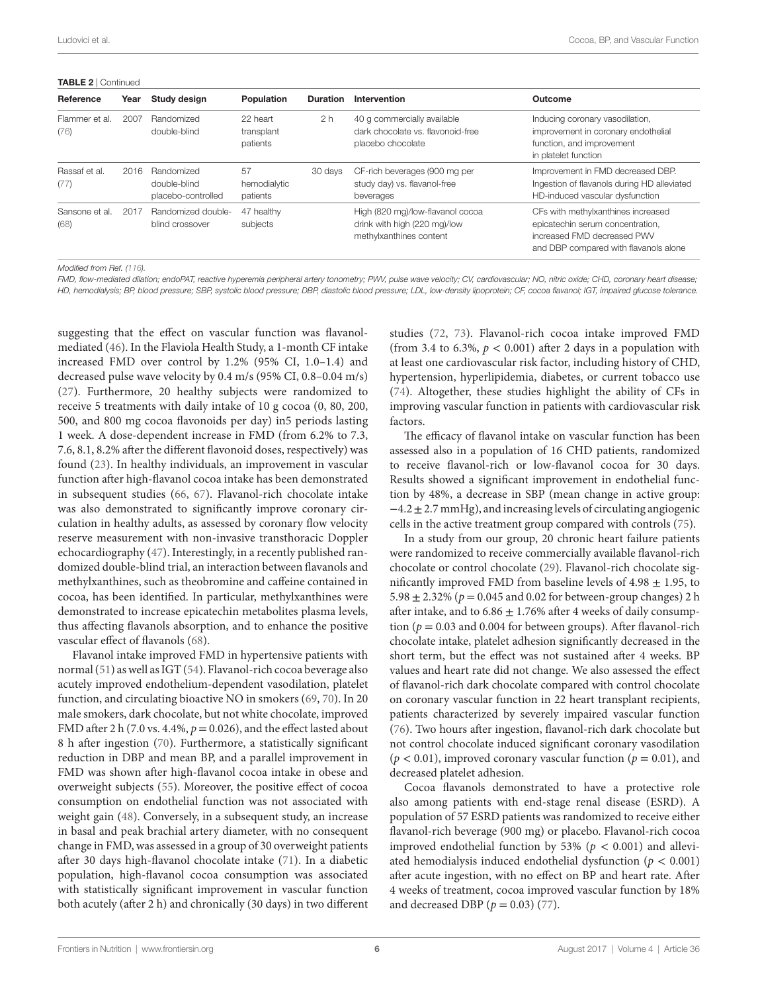#### TABLE 2 | Continued

| Reference              | Year | Study design                                     | Population                         | <b>Duration</b> | Intervention                                                                                | Outcome                                                                                                                                        |
|------------------------|------|--------------------------------------------------|------------------------------------|-----------------|---------------------------------------------------------------------------------------------|------------------------------------------------------------------------------------------------------------------------------------------------|
| Flammer et al.<br>(76) | 2007 | Randomized<br>double-blind                       | 22 heart<br>transplant<br>patients | 2 <sub>h</sub>  | 40 g commercially available<br>dark chocolate vs. flavonoid-free<br>placebo chocolate       | Inducing coronary vasodilation,<br>improvement in coronary endothelial<br>function, and improvement<br>in platelet function                    |
| Rassaf et al.<br>(77)  | 2016 | Randomized<br>double-blind<br>placebo-controlled | 57<br>hemodialytic<br>patients     | 30 days         | CF-rich beverages (900 mg per<br>study day) vs. flavanol-free<br>beverages                  | Improvement in FMD decreased DBP.<br>Ingestion of flavanols during HD alleviated<br>HD-induced vascular dysfunction                            |
| Sansone et al.<br>(68) | 2017 | <b>Randomized double-</b><br>blind crossover     | 47 healthy<br>subjects             |                 | High (820 mg)/low-flavanol cocoa<br>drink with high (220 mg)/low<br>methylxanthines content | CFs with methylxanthines increased<br>epicatechin serum concentration,<br>increased FMD decreased PWV<br>and DBP compared with flavanols alone |

*Modified from Ref. [\(116](#page-11-0)).*

*FMD, flow-mediated dilation; endoPAT, reactive hyperemia peripheral artery tonometry; PWV, pulse wave velocity; CV, cardiovascular; NO, nitric oxide; CHD, coronary heart disease; HD, hemodialysis; BP, blood pressure; SBP, systolic blood pressure; DBP, diastolic blood pressure; LDL, low-density lipoprotein; CF, cocoa flavanol; IGT, impaired glucose tolerance.*

suggesting that the effect on vascular function was flavanolmediated ([46](#page-9-18)). In the Flaviola Health Study, a 1-month CF intake increased FMD over control by 1.2% (95% CI, 1.0–1.4) and decreased pulse wave velocity by 0.4 m/s (95% CI, 0.8–0.04 m/s) ([27\)](#page-9-0). Furthermore, 20 healthy subjects were randomized to receive 5 treatments with daily intake of 10 g cocoa (0, 80, 200, 500, and 800 mg cocoa flavonoids per day) in5 periods lasting 1 week. A dose-dependent increase in FMD (from 6.2% to 7.3, 7.6, 8.1, 8.2% after the different flavonoid doses, respectively) was found [\(23](#page-8-19)). In healthy individuals, an improvement in vascular function after high-flavanol cocoa intake has been demonstrated in subsequent studies [\(66](#page-10-1), [67](#page-10-2)). Flavanol-rich chocolate intake was also demonstrated to significantly improve coronary circulation in healthy adults, as assessed by coronary flow velocity reserve measurement with non-invasive transthoracic Doppler echocardiography ([47\)](#page-9-19). Interestingly, in a recently published randomized double-blind trial, an interaction between flavanols and methylxanthines, such as theobromine and caffeine contained in cocoa, has been identified. In particular, methylxanthines were demonstrated to increase epicatechin metabolites plasma levels, thus affecting flavanols absorption, and to enhance the positive vascular effect of flavanols [\(68\)](#page-10-12).

Flavanol intake improved FMD in hypertensive patients with normal ([51](#page-9-23)) as well as IGT [\(54](#page-9-26)). Flavanol-rich cocoa beverage also acutely improved endothelium-dependent vasodilation, platelet function, and circulating bioactive NO in smokers ([69](#page-10-3), [70](#page-10-4)). In 20 male smokers, dark chocolate, but not white chocolate, improved FMD after 2 h (7.0 vs.  $4.4\%$ ,  $p = 0.026$ ), and the effect lasted about 8 h after ingestion ([70\)](#page-10-4). Furthermore, a statistically significant reduction in DBP and mean BP, and a parallel improvement in FMD was shown after high-flavanol cocoa intake in obese and overweight subjects ([55](#page-9-27)). Moreover, the positive effect of cocoa consumption on endothelial function was not associated with weight gain [\(48\)](#page-9-20). Conversely, in a subsequent study, an increase in basal and peak brachial artery diameter, with no consequent change in FMD, was assessed in a group of 30 overweight patients after 30 days high-flavanol chocolate intake ([71](#page-10-5)). In a diabetic population, high-flavanol cocoa consumption was associated with statistically significant improvement in vascular function both acutely (after 2 h) and chronically (30 days) in two different

studies ([72,](#page-10-6) [73](#page-10-7)). Flavanol-rich cocoa intake improved FMD (from 3.4 to 6.3%,  $p < 0.001$ ) after 2 days in a population with at least one cardiovascular risk factor, including history of CHD, hypertension, hyperlipidemia, diabetes, or current tobacco use [\(74\)](#page-10-8). Altogether, these studies highlight the ability of CFs in improving vascular function in patients with cardiovascular risk factors.

The efficacy of flavanol intake on vascular function has been assessed also in a population of 16 CHD patients, randomized to receive flavanol-rich or low-flavanol cocoa for 30 days. Results showed a significant improvement in endothelial function by 48%, a decrease in SBP (mean change in active group: −4.2 ± 2.7 mmHg), and increasing levels of circulating angiogenic cells in the active treatment group compared with controls [\(75](#page-10-9)).

In a study from our group, 20 chronic heart failure patients were randomized to receive commercially available flavanol-rich chocolate or control chocolate [\(29](#page-9-2)). Flavanol-rich chocolate significantly improved FMD from baseline levels of  $4.98 \pm 1.95$ , to 5.98  $\pm$  2.32% ( $p = 0.045$  and 0.02 for between-group changes) 2 h after intake, and to  $6.86 \pm 1.76\%$  after 4 weeks of daily consumption ( $p = 0.03$  and 0.004 for between groups). After flavanol-rich chocolate intake, platelet adhesion significantly decreased in the short term, but the effect was not sustained after 4 weeks. BP values and heart rate did not change. We also assessed the effect of flavanol-rich dark chocolate compared with control chocolate on coronary vascular function in 22 heart transplant recipients, patients characterized by severely impaired vascular function [\(76\)](#page-10-10). Two hours after ingestion, flavanol-rich dark chocolate but not control chocolate induced significant coronary vasodilation  $(p < 0.01)$ , improved coronary vascular function  $(p = 0.01)$ , and decreased platelet adhesion.

Cocoa flavanols demonstrated to have a protective role also among patients with end-stage renal disease (ESRD). A population of 57 ESRD patients was randomized to receive either flavanol-rich beverage (900 mg) or placebo. Flavanol-rich cocoa improved endothelial function by 53% ( $p < 0.001$ ) and alleviated hemodialysis induced endothelial dysfunction (*p* < 0.001) after acute ingestion, with no effect on BP and heart rate. After 4 weeks of treatment, cocoa improved vascular function by 18% and decreased DBP ( $p = 0.03$ ) [\(77](#page-10-11)).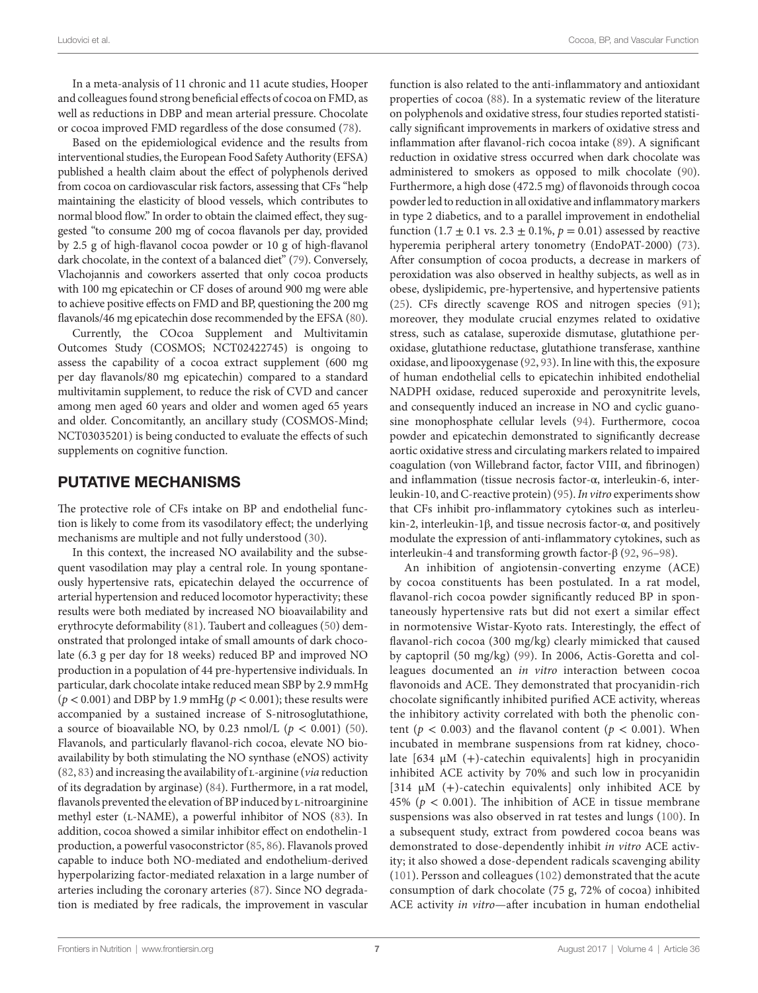In a meta-analysis of 11 chronic and 11 acute studies, Hooper and colleagues found strong beneficial effects of cocoa on FMD, as well as reductions in DBP and mean arterial pressure. Chocolate or cocoa improved FMD regardless of the dose consumed [\(78](#page-10-13)).

Based on the epidemiological evidence and the results from interventional studies, the European Food Safety Authority (EFSA) published a health claim about the effect of polyphenols derived from cocoa on cardiovascular risk factors, assessing that CFs "help maintaining the elasticity of blood vessels, which contributes to normal blood flow." In order to obtain the claimed effect, they suggested "to consume 200 mg of cocoa flavanols per day, provided by 2.5 g of high-flavanol cocoa powder or 10 g of high-flavanol dark chocolate, in the context of a balanced diet" [\(79](#page-10-14)). Conversely, Vlachojannis and coworkers asserted that only cocoa products with 100 mg epicatechin or CF doses of around 900 mg were able to achieve positive effects on FMD and BP, questioning the 200 mg flavanols/46 mg epicatechin dose recommended by the EFSA ([80\)](#page-10-15).

Currently, the COcoa Supplement and Multivitamin Outcomes Study (COSMOS; NCT02422745) is ongoing to assess the capability of a cocoa extract supplement (600 mg per day flavanols/80 mg epicatechin) compared to a standard multivitamin supplement, to reduce the risk of CVD and cancer among men aged 60 years and older and women aged 65 years and older. Concomitantly, an ancillary study (COSMOS-Mind; NCT03035201) is being conducted to evaluate the effects of such supplements on cognitive function.

#### PUTATIVE MECHANISMS

The protective role of CFs intake on BP and endothelial function is likely to come from its vasodilatory effect; the underlying mechanisms are multiple and not fully understood [\(30](#page-9-3)).

In this context, the increased NO availability and the subsequent vasodilation may play a central role. In young spontaneously hypertensive rats, epicatechin delayed the occurrence of arterial hypertension and reduced locomotor hyperactivity; these results were both mediated by increased NO bioavailability and erythrocyte deformability [\(81](#page-10-16)). Taubert and colleagues ([50\)](#page-9-22) demonstrated that prolonged intake of small amounts of dark chocolate (6.3 g per day for 18 weeks) reduced BP and improved NO production in a population of 44 pre-hypertensive individuals. In particular, dark chocolate intake reduced mean SBP by 2.9 mmHg (*p* < 0.001) and DBP by 1.9 mmHg (*p* < 0.001); these results were accompanied by a sustained increase of S-nitrosoglutathione, a source of bioavailable NO, by 0.23  $nmol/L$  ( $p < 0.001$ ) ([50\)](#page-9-22). Flavanols, and particularly flavanol-rich cocoa, elevate NO bioavailability by both stimulating the NO synthase (eNOS) activity ([82,](#page-10-17) [83](#page-10-18)) and increasing the availability of l-arginine (*via* reduction of its degradation by arginase) ([84\)](#page-10-19). Furthermore, in a rat model, flavanols prevented the elevation of BP induced by L-nitroarginine methyl ester (L-NAME), a powerful inhibitor of NOS ([83\)](#page-10-18). In addition, cocoa showed a similar inhibitor effect on endothelin-1 production, a powerful vasoconstrictor [\(85,](#page-10-20) [86](#page-10-21)). Flavanols proved capable to induce both NO-mediated and endothelium-derived hyperpolarizing factor-mediated relaxation in a large number of arteries including the coronary arteries [\(87](#page-10-22)). Since NO degradation is mediated by free radicals, the improvement in vascular

function is also related to the anti-inflammatory and antioxidant properties of cocoa ([88\)](#page-10-23). In a systematic review of the literature on polyphenols and oxidative stress, four studies reported statistically significant improvements in markers of oxidative stress and inflammation after flavanol-rich cocoa intake [\(89\)](#page-10-24). A significant reduction in oxidative stress occurred when dark chocolate was administered to smokers as opposed to milk chocolate [\(90](#page-10-25)). Furthermore, a high dose (472.5 mg) of flavonoids through cocoa powder led to reduction in all oxidative and inflammatory markers in type 2 diabetics, and to a parallel improvement in endothelial function  $(1.7 \pm 0.1 \text{ vs. } 2.3 \pm 0.1\% , p = 0.01)$  assessed by reactive hyperemia peripheral artery tonometry (EndoPAT-2000) [\(73](#page-10-7)). After consumption of cocoa products, a decrease in markers of peroxidation was also observed in healthy subjects, as well as in obese, dyslipidemic, pre-hypertensive, and hypertensive patients [\(25](#page-8-21)). CFs directly scavenge ROS and nitrogen species [\(91](#page-10-26)); moreover, they modulate crucial enzymes related to oxidative stress, such as catalase, superoxide dismutase, glutathione peroxidase, glutathione reductase, glutathione transferase, xanthine oxidase, and lipooxygenase [\(92](#page-10-27), [93\)](#page-10-28). In line with this, the exposure of human endothelial cells to epicatechin inhibited endothelial NADPH oxidase, reduced superoxide and peroxynitrite levels, and consequently induced an increase in NO and cyclic guanosine monophosphate cellular levels [\(94](#page-10-29)). Furthermore, cocoa powder and epicatechin demonstrated to significantly decrease aortic oxidative stress and circulating markers related to impaired coagulation (von Willebrand factor, factor VIII, and fibrinogen) and inflammation (tissue necrosis factor-α, interleukin-6, interleukin-10, and C-reactive protein) ([95](#page-10-30)). *In vitro* experiments show that CFs inhibit pro-inflammatory cytokines such as interleukin-2, interleukin-1β, and tissue necrosis factor-α, and positively modulate the expression of anti-inflammatory cytokines, such as interleukin-4 and transforming growth factor-β ([92,](#page-10-27) [96](#page-10-31)[–98](#page-10-32)).

An inhibition of angiotensin-converting enzyme (ACE) by cocoa constituents has been postulated. In a rat model, flavanol-rich cocoa powder significantly reduced BP in spontaneously hypertensive rats but did not exert a similar effect in normotensive Wistar-Kyoto rats. Interestingly, the effect of flavanol-rich cocoa (300 mg/kg) clearly mimicked that caused by captopril (50 mg/kg) [\(99\)](#page-10-33). In 2006, Actis-Goretta and colleagues documented an *in vitro* interaction between cocoa flavonoids and ACE. They demonstrated that procyanidin-rich chocolate significantly inhibited purified ACE activity, whereas the inhibitory activity correlated with both the phenolic content ( $p < 0.003$ ) and the flavanol content ( $p < 0.001$ ). When incubated in membrane suspensions from rat kidney, chocolate  $[634 \mu M (+)$ -catechin equivalents] high in procyanidin inhibited ACE activity by 70% and such low in procyanidin [314 µM (+)-catechin equivalents] only inhibited ACE by 45% ( $p < 0.001$ ). The inhibition of ACE in tissue membrane suspensions was also observed in rat testes and lungs [\(100](#page-11-1)). In a subsequent study, extract from powdered cocoa beans was demonstrated to dose-dependently inhibit *in vitro* ACE activity; it also showed a dose-dependent radicals scavenging ability ([101\)](#page-11-2). Persson and colleagues ([102\)](#page-11-3) demonstrated that the acute consumption of dark chocolate (75 g, 72% of cocoa) inhibited ACE activity *in vitro*—after incubation in human endothelial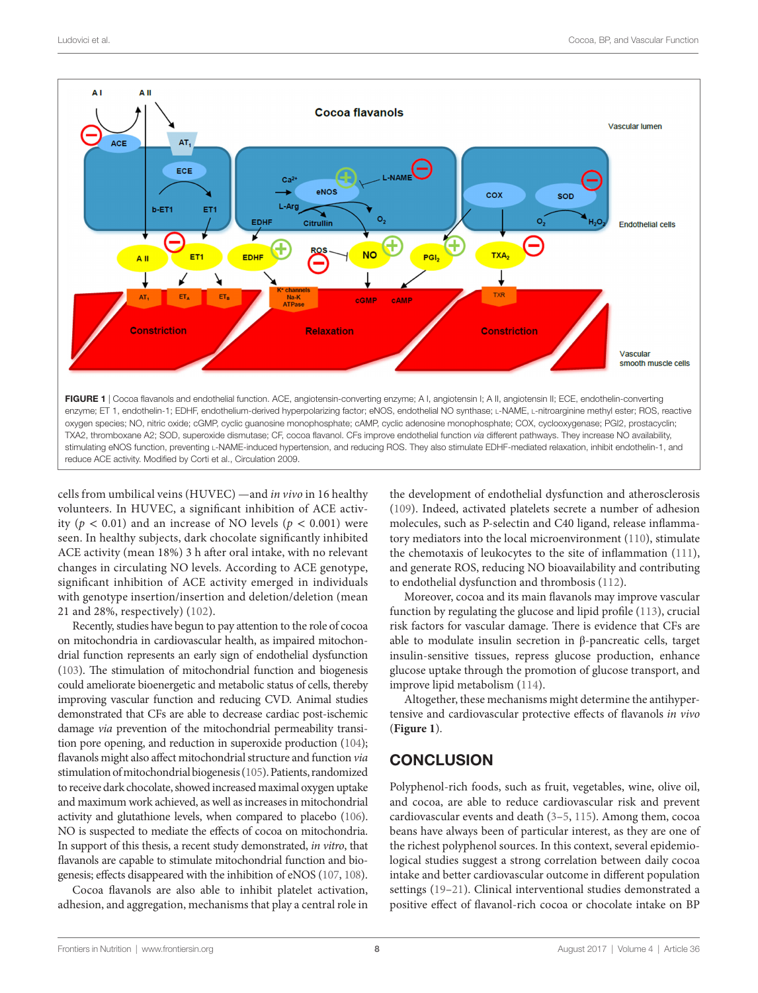

<span id="page-7-0"></span>cells from umbilical veins (HUVEC) —and *in vivo* in 16 healthy volunteers. In HUVEC, a significant inhibition of ACE activity ( $p < 0.01$ ) and an increase of NO levels ( $p < 0.001$ ) were seen. In healthy subjects, dark chocolate significantly inhibited ACE activity (mean 18%) 3 h after oral intake, with no relevant changes in circulating NO levels. According to ACE genotype, significant inhibition of ACE activity emerged in individuals with genotype insertion/insertion and deletion/deletion (mean 21 and 28%, respectively) ([102\)](#page-11-3).

Recently, studies have begun to pay attention to the role of cocoa on mitochondria in cardiovascular health, as impaired mitochondrial function represents an early sign of endothelial dysfunction [\(103\)](#page-11-4). The stimulation of mitochondrial function and biogenesis could ameliorate bioenergetic and metabolic status of cells, thereby improving vascular function and reducing CVD. Animal studies demonstrated that CFs are able to decrease cardiac post-ischemic damage *via* prevention of the mitochondrial permeability transition pore opening, and reduction in superoxide production ([104\)](#page-11-5); flavanols might also affect mitochondrial structure and function *via* stimulation of mitochondrial biogenesis [\(105](#page-11-6)). Patients, randomized to receive dark chocolate, showed increased maximal oxygen uptake and maximum work achieved, as well as increases in mitochondrial activity and glutathione levels, when compared to placebo ([106\)](#page-11-7). NO is suspected to mediate the effects of cocoa on mitochondria. In support of this thesis, a recent study demonstrated, *in vitro*, that flavanols are capable to stimulate mitochondrial function and biogenesis; effects disappeared with the inhibition of eNOS [\(107](#page-11-8), [108\)](#page-11-9).

Cocoa flavanols are also able to inhibit platelet activation, adhesion, and aggregation, mechanisms that play a central role in

the development of endothelial dysfunction and atherosclerosis [\(109](#page-11-10)). Indeed, activated platelets secrete a number of adhesion molecules, such as P-selectin and C40 ligand, release inflammatory mediators into the local microenvironment ([110](#page-11-11)), stimulate the chemotaxis of leukocytes to the site of inflammation ([111](#page-11-12)), and generate ROS, reducing NO bioavailability and contributing to endothelial dysfunction and thrombosis [\(112\)](#page-11-13).

Moreover, cocoa and its main flavanols may improve vascular function by regulating the glucose and lipid profile ([113](#page-11-14)), crucial risk factors for vascular damage. There is evidence that CFs are able to modulate insulin secretion in β-pancreatic cells, target insulin-sensitive tissues, repress glucose production, enhance glucose uptake through the promotion of glucose transport, and improve lipid metabolism [\(114](#page-11-15)).

Altogether, these mechanisms might determine the antihypertensive and cardiovascular protective effects of flavanols *in vivo* (**[Figure 1](#page-7-0)**).

## **CONCLUSION**

Polyphenol-rich foods, such as fruit, vegetables, wine, olive oil, and cocoa, are able to reduce cardiovascular risk and prevent cardiovascular events and death ([3](#page-8-24)[–5,](#page-8-2) [115](#page-11-16)). Among them, cocoa beans have always been of particular interest, as they are one of the richest polyphenol sources. In this context, several epidemiological studies suggest a strong correlation between daily cocoa intake and better cardiovascular outcome in different population settings [\(19](#page-8-16)[–21](#page-8-17)). Clinical interventional studies demonstrated a positive effect of flavanol-rich cocoa or chocolate intake on BP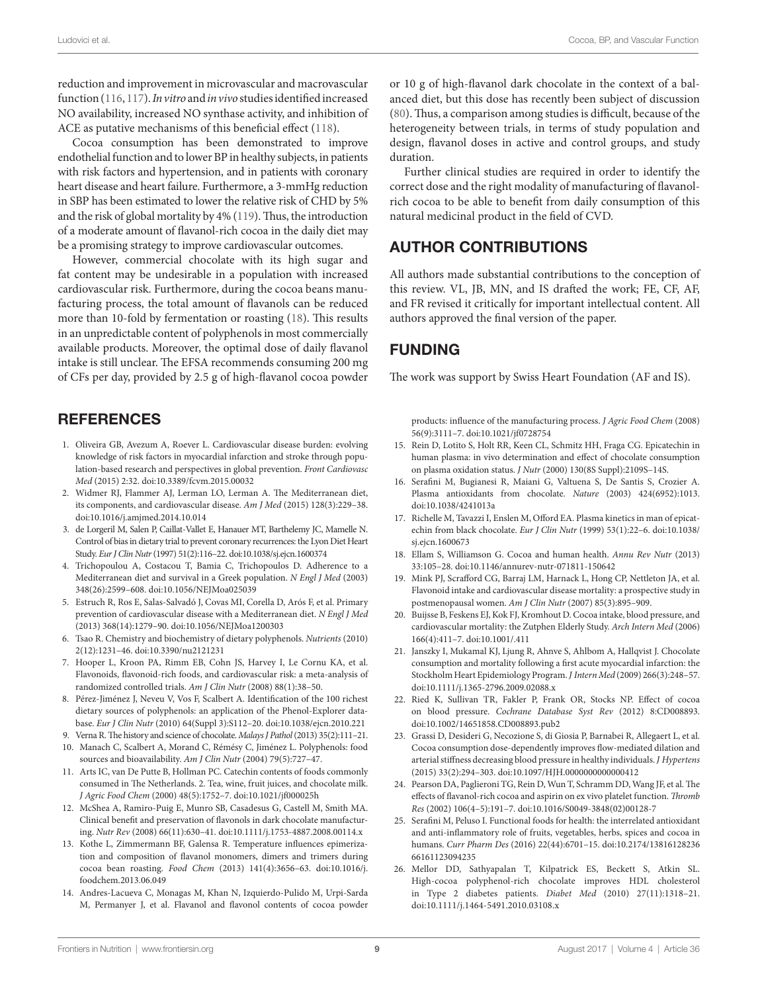reduction and improvement in microvascular and macrovascular function [\(116](#page-11-0), [117](#page-11-17)). *In vitro* and *in vivo* studies identified increased NO availability, increased NO synthase activity, and inhibition of ACE as putative mechanisms of this beneficial effect ([118](#page-11-18)).

Cocoa consumption has been demonstrated to improve endothelial function and to lower BP in healthy subjects, in patients with risk factors and hypertension, and in patients with coronary heart disease and heart failure. Furthermore, a 3-mmHg reduction in SBP has been estimated to lower the relative risk of CHD by 5% and the risk of global mortality by 4% [\(119\)](#page-11-19). Thus, the introduction of a moderate amount of flavanol-rich cocoa in the daily diet may be a promising strategy to improve cardiovascular outcomes.

However, commercial chocolate with its high sugar and fat content may be undesirable in a population with increased cardiovascular risk. Furthermore, during the cocoa beans manufacturing process, the total amount of flavanols can be reduced more than 10-fold by fermentation or roasting ([18\)](#page-8-15). This results in an unpredictable content of polyphenols in most commercially available products. Moreover, the optimal dose of daily flavanol intake is still unclear. The EFSA recommends consuming 200 mg of CFs per day, provided by 2.5 g of high-flavanol cocoa powder

## **REFERENCES**

- <span id="page-8-0"></span>1. Oliveira GB, Avezum A, Roever L. Cardiovascular disease burden: evolving knowledge of risk factors in myocardial infarction and stroke through population-based research and perspectives in global prevention. *Front Cardiovasc Med* (2015) 2:32. doi:[10.3389/fcvm.2015.00032](https://doi.org/10.3389/fcvm.2015.00032)
- <span id="page-8-1"></span>2. Widmer RJ, Flammer AJ, Lerman LO, Lerman A. The Mediterranean diet, its components, and cardiovascular disease. *Am J Med* (2015) 128(3):229–38. doi:[10.1016/j.amjmed.2014.10.014](https://doi.org/10.1016/j.amjmed.2014.10.014)
- <span id="page-8-24"></span>3. de Lorgeril M, Salen P, Caillat-Vallet E, Hanauer MT, Barthelemy JC, Mamelle N. Control of bias in dietary trial to prevent coronary recurrences: the Lyon Diet Heart Study. *Eur J Clin Nutr* (1997) 51(2):116–22. doi[:10.1038/sj.ejcn.1600374](https://doi.org/10.1038/sj.ejcn.1600374)
- 4. Trichopoulou A, Costacou T, Bamia C, Trichopoulos D. Adherence to a Mediterranean diet and survival in a Greek population. *N Engl J Med* (2003) 348(26):2599–608. doi[:10.1056/NEJMoa025039](https://doi.org/10.1056/NEJMoa025039)
- <span id="page-8-2"></span>5. Estruch R, Ros E, Salas-Salvadó J, Covas MI, Corella D, Arós F, et al. Primary prevention of cardiovascular disease with a Mediterranean diet. *N Engl J Med* (2013) 368(14):1279–90. doi:[10.1056/NEJMoa1200303](https://doi.org/10.1056/NEJMoa1200303)
- <span id="page-8-3"></span>6. Tsao R. Chemistry and biochemistry of dietary polyphenols. *Nutrients* (2010) 2(12):1231–46. doi[:10.3390/nu2121231](https://doi.org/10.3390/nu2121231)
- <span id="page-8-4"></span>7. Hooper L, Kroon PA, Rimm EB, Cohn JS, Harvey I, Le Cornu KA, et al. Flavonoids, flavonoid-rich foods, and cardiovascular risk: a meta-analysis of randomized controlled trials. *Am J Clin Nutr* (2008) 88(1):38–50.
- <span id="page-8-5"></span>8. Pérez-Jiménez J, Neveu V, Vos F, Scalbert A. Identification of the 100 richest dietary sources of polyphenols: an application of the Phenol-Explorer database. *Eur J Clin Nutr* (2010) 64(Suppl 3):S112–20. doi[:10.1038/ejcn.2010.221](https://doi.org/10.1038/ejcn.2010.221)
- <span id="page-8-6"></span>9. Verna R. The history and science of chocolate. *Malays J Pathol* (2013) 35(2):111–21.
- <span id="page-8-7"></span>10. Manach C, Scalbert A, Morand C, Rémésy C, Jiménez L. Polyphenols: food sources and bioavailability. *Am J Clin Nutr* (2004) 79(5):727–47.
- <span id="page-8-8"></span>11. Arts IC, van De Putte B, Hollman PC. Catechin contents of foods commonly consumed in The Netherlands. 2. Tea, wine, fruit juices, and chocolate milk. *J Agric Food Chem* (2000) 48(5):1752–7. doi[:10.1021/jf000025h](https://doi.org/10.1021/jf000025h)
- <span id="page-8-9"></span>12. McShea A, Ramiro-Puig E, Munro SB, Casadesus G, Castell M, Smith MA. Clinical benefit and preservation of flavonols in dark chocolate manufacturing. *Nutr Rev* (2008) 66(11):630–41. doi[:10.1111/j.1753-4887.2008.00114.x](https://doi.org/10.1111/j.1753-4887.2008.00114.x)
- <span id="page-8-10"></span>13. Kothe L, Zimmermann BF, Galensa R. Temperature influences epimerization and composition of flavanol monomers, dimers and trimers during cocoa bean roasting. *Food Chem* (2013) 141(4):3656–63. doi:[10.1016/j.](https://doi.org/10.1016/j.foodchem.2013.06.049) [foodchem.2013.06.049](https://doi.org/10.1016/j.foodchem.2013.06.049)
- <span id="page-8-11"></span>14. Andres-Lacueva C, Monagas M, Khan N, Izquierdo-Pulido M, Urpi-Sarda M, Permanyer J, et al. Flavanol and flavonol contents of cocoa powder

or 10 g of high-flavanol dark chocolate in the context of a balanced diet, but this dose has recently been subject of discussion [\(80\)](#page-10-15). Thus, a comparison among studies is difficult, because of the heterogeneity between trials, in terms of study population and design, flavanol doses in active and control groups, and study duration.

Further clinical studies are required in order to identify the correct dose and the right modality of manufacturing of flavanolrich cocoa to be able to benefit from daily consumption of this natural medicinal product in the field of CVD.

## AUTHOR CONTRIBUTIONS

All authors made substantial contributions to the conception of this review. VL, JB, MN, and IS drafted the work; FE, CF, AF, and FR revised it critically for important intellectual content. All authors approved the final version of the paper.

## FUNDING

The work was support by Swiss Heart Foundation (AF and IS).

<span id="page-8-12"></span>products: influence of the manufacturing process. *J Agric Food Chem* (2008) 56(9):3111–7. doi:[10.1021/jf0728754](https://doi.org/10.1021/jf0728754) 

- 15. Rein D, Lotito S, Holt RR, Keen CL, Schmitz HH, Fraga CG. Epicatechin in human plasma: in vivo determination and effect of chocolate consumption on plasma oxidation status. *J Nutr* (2000) 130(8S Suppl):2109S–14S.
- <span id="page-8-13"></span>16. Serafini M, Bugianesi R, Maiani G, Valtuena S, De Santis S, Crozier A. Plasma antioxidants from chocolate. *Nature* (2003) 424(6952):1013. doi:[10.1038/4241013a](https://doi.org/10.1038/4241013a)
- <span id="page-8-14"></span>17. Richelle M, Tavazzi I, Enslen M, Offord EA. Plasma kinetics in man of epicatechin from black chocolate. *Eur J Clin Nutr* (1999) 53(1):22–6. doi[:10.1038/](https://doi.org/10.1038/sj.ejcn.1600673) [sj.ejcn.1600673](https://doi.org/10.1038/sj.ejcn.1600673)
- <span id="page-8-15"></span>18. Ellam S, Williamson G. Cocoa and human health. *Annu Rev Nutr* (2013) 33:105–28. doi:[10.1146/annurev-nutr-071811-150642](https://doi.org/10.1146/annurev-nutr-071811-150642)
- <span id="page-8-16"></span>19. Mink PJ, Scrafford CG, Barraj LM, Harnack L, Hong CP, Nettleton JA, et al. Flavonoid intake and cardiovascular disease mortality: a prospective study in postmenopausal women. *Am J Clin Nutr* (2007) 85(3):895–909.
- <span id="page-8-23"></span>20. Buijsse B, Feskens EJ, Kok FJ, Kromhout D. Cocoa intake, blood pressure, and cardiovascular mortality: the Zutphen Elderly Study. *Arch Intern Med* (2006) 166(4):411–7. doi:[10.1001/.411](https://doi.org/10.1001/.411)
- <span id="page-8-17"></span>21. Janszky I, Mukamal KJ, Ljung R, Ahnve S, Ahlbom A, Hallqvist J. Chocolate consumption and mortality following a first acute myocardial infarction: the Stockholm Heart Epidemiology Program. *J Intern Med* (2009) 266(3):248–57. doi:[10.1111/j.1365-2796.2009.02088.x](https://doi.org/10.1111/j.1365-2796.2009.02088.x)
- <span id="page-8-18"></span>22. Ried K, Sullivan TR, Fakler P, Frank OR, Stocks NP. Effect of cocoa on blood pressure. *Cochrane Database Syst Rev* (2012) 8:CD008893. doi:[10.1002/14651858.CD008893.pub2](https://doi.org/10.1002/14651858.CD008893.pub2)
- <span id="page-8-19"></span>23. Grassi D, Desideri G, Necozione S, di Giosia P, Barnabei R, Allegaert L, et al. Cocoa consumption dose-dependently improves flow-mediated dilation and arterial stiffness decreasing blood pressure in healthy individuals. *J Hypertens* (2015) 33(2):294–303. doi:[10.1097/HJH.0000000000000412](https://doi.org/10.1097/HJH.0000000000000412)
- <span id="page-8-20"></span>24. Pearson DA, Paglieroni TG, Rein D, Wun T, Schramm DD, Wang JF, et al. The effects of flavanol-rich cocoa and aspirin on ex vivo platelet function. *Thromb Res* (2002) 106(4–5):191–7. doi[:10.1016/S0049-3848\(02\)00128-7](https://doi.org/10.1016/S0049-3848(02)00128-7)
- <span id="page-8-21"></span>25. Serafini M, Peluso I. Functional foods for health: the interrelated antioxidant and anti-inflammatory role of fruits, vegetables, herbs, spices and cocoa in humans. *Curr Pharm Des* (2016) 22(44):6701–15. doi:[10.2174/13816128236](https://doi.org/10.2174/1381612823666161123094235) [66161123094235](https://doi.org/10.2174/1381612823666161123094235)
- <span id="page-8-22"></span>26. Mellor DD, Sathyapalan T, Kilpatrick ES, Beckett S, Atkin SL. High-cocoa polyphenol-rich chocolate improves HDL cholesterol in Type 2 diabetes patients. *Diabet Med* (2010) 27(11):1318–21. doi:[10.1111/j.1464-5491.2010.03108.x](https://doi.org/10.1111/j.1464-5491.2010.03108.x)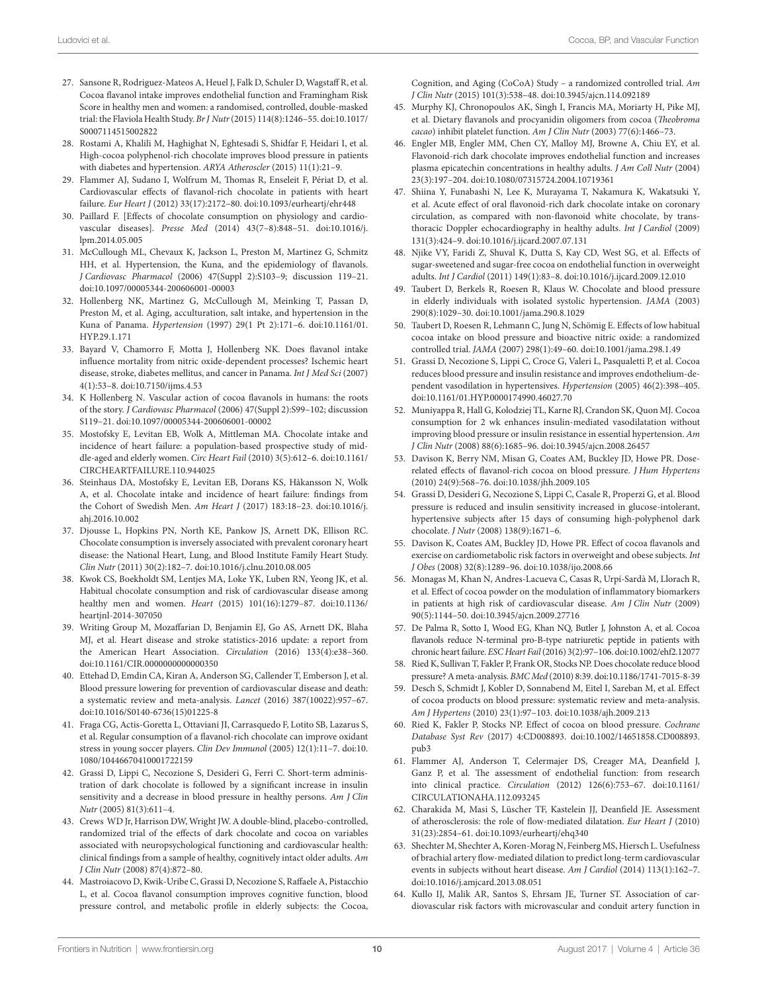- <span id="page-9-0"></span>27. Sansone R, Rodriguez-Mateos A, Heuel J, Falk D, Schuler D, Wagstaff R, et al. Cocoa flavanol intake improves endothelial function and Framingham Risk Score in healthy men and women: a randomised, controlled, double-masked trial: the Flaviola Health Study. *Br J Nutr* (2015) 114(8):1246–55. doi[:10.1017/](https://doi.org/10.1017/S0007114515002822) [S0007114515002822](https://doi.org/10.1017/S0007114515002822)
- <span id="page-9-1"></span>28. Rostami A, Khalili M, Haghighat N, Eghtesadi S, Shidfar F, Heidari I, et al. High-cocoa polyphenol-rich chocolate improves blood pressure in patients with diabetes and hypertension. *ARYA Atheroscler* (2015) 11(1):21–9.
- <span id="page-9-2"></span>29. Flammer AJ, Sudano I, Wolfrum M, Thomas R, Enseleit F, Périat D, et al. Cardiovascular effects of flavanol-rich chocolate in patients with heart failure. *Eur Heart J* (2012) 33(17):2172–80. doi[:10.1093/eurheartj/ehr448](https://doi.org/10.1093/eurheartj/ehr448)
- <span id="page-9-3"></span>30. Paillard F. [Effects of chocolate consumption on physiology and cardiovascular diseases]. *Presse Med* (2014) 43(7–8):848–51. doi:[10.1016/j.](https://doi.org/10.1016/j.lpm.2014.05.005) [lpm.2014.05.005](https://doi.org/10.1016/j.lpm.2014.05.005)
- <span id="page-9-4"></span>31. McCullough ML, Chevaux K, Jackson L, Preston M, Martinez G, Schmitz HH, et al. Hypertension, the Kuna, and the epidemiology of flavanols. *J Cardiovasc Pharmacol* (2006) 47(Suppl 2):S103–9; discussion 119–21. doi:[10.1097/00005344-200606001-00003](https://doi.org/10.1097/00005344-200606001-00003)
- <span id="page-9-5"></span>32. Hollenberg NK, Martinez G, McCullough M, Meinking T, Passan D, Preston M, et al. Aging, acculturation, salt intake, and hypertension in the Kuna of Panama. *Hypertension* (1997) 29(1 Pt 2):171–6. doi[:10.1161/01.](https://doi.org/10.1161/01.HYP.29.1.171) [HYP.29.1.171](https://doi.org/10.1161/01.HYP.29.1.171)
- <span id="page-9-6"></span>33. Bayard V, Chamorro F, Motta J, Hollenberg NK. Does flavanol intake influence mortality from nitric oxide-dependent processes? Ischemic heart disease, stroke, diabetes mellitus, and cancer in Panama. *Int J Med Sci* (2007) 4(1):53–8. doi[:10.7150/ijms.4.53](https://doi.org/10.7150/ijms.4.53)
- <span id="page-9-7"></span>34. K Hollenberg N. Vascular action of cocoa flavanols in humans: the roots of the story. *J Cardiovasc Pharmacol* (2006) 47(Suppl 2):S99–102; discussion S119–21. doi:[10.1097/00005344-200606001-00002](https://doi.org/10.1097/00005344-200606001-00002)
- <span id="page-9-8"></span>35. Mostofsky E, Levitan EB, Wolk A, Mittleman MA. Chocolate intake and incidence of heart failure: a population-based prospective study of middle-aged and elderly women. *Circ Heart Fail* (2010) 3(5):612–6. doi[:10.1161/](https://doi.org/10.1161/CIRCHEARTFAILURE.110.944025) [CIRCHEARTFAILURE.110.944025](https://doi.org/10.1161/CIRCHEARTFAILURE.110.944025)
- <span id="page-9-9"></span>36. Steinhaus DA, Mostofsky E, Levitan EB, Dorans KS, Håkansson N, Wolk A, et al. Chocolate intake and incidence of heart failure: findings from the Cohort of Swedish Men. *Am Heart J* (2017) 183:18–23. doi:[10.1016/j.](https://doi.org/10.1016/j.ahj.2016.10.002) [ahj.2016.10.002](https://doi.org/10.1016/j.ahj.2016.10.002)
- <span id="page-9-10"></span>37. Djousse L, Hopkins PN, North KE, Pankow JS, Arnett DK, Ellison RC. Chocolate consumption is inversely associated with prevalent coronary heart disease: the National Heart, Lung, and Blood Institute Family Heart Study. *Clin Nutr* (2011) 30(2):182–7. doi[:10.1016/j.clnu.2010.08.005](https://doi.org/10.1016/j.clnu.2010.08.005)
- <span id="page-9-11"></span>38. Kwok CS, Boekholdt SM, Lentjes MA, Loke YK, Luben RN, Yeong JK, et al. Habitual chocolate consumption and risk of cardiovascular disease among healthy men and women. *Heart* (2015) 101(16):1279–87. doi[:10.1136/](https://doi.org/10.1136/heartjnl-2014-307050) [heartjnl-2014-307050](https://doi.org/10.1136/heartjnl-2014-307050)
- <span id="page-9-12"></span>39. Writing Group M, Mozaffarian D, Benjamin EJ, Go AS, Arnett DK, Blaha MJ, et al. Heart disease and stroke statistics-2016 update: a report from the American Heart Association. *Circulation* (2016) 133(4):e38–360. doi:[10.1161/CIR.0000000000000350](https://doi.org/10.1161/CIR.0000000000000350)
- <span id="page-9-30"></span>40. Ettehad D, Emdin CA, Kiran A, Anderson SG, Callender T, Emberson J, et al. Blood pressure lowering for prevention of cardiovascular disease and death: a systematic review and meta-analysis. *Lancet* (2016) 387(10022):957–67. doi:[10.1016/S0140-6736\(15\)01225-8](https://doi.org/10.1016/S0140-6736(15)01225-8)
- <span id="page-9-13"></span>41. Fraga CG, Actis-Goretta L, Ottaviani JI, Carrasquedo F, Lotito SB, Lazarus S, et al. Regular consumption of a flavanol-rich chocolate can improve oxidant stress in young soccer players. *Clin Dev Immunol* (2005) 12(1):11–7. doi[:10.](https://doi.org/10.1080/10446670410001722159) [1080/10446670410001722159](https://doi.org/10.1080/10446670410001722159)
- <span id="page-9-14"></span>42. Grassi D, Lippi C, Necozione S, Desideri G, Ferri C. Short-term administration of dark chocolate is followed by a significant increase in insulin sensitivity and a decrease in blood pressure in healthy persons. *Am J Clin Nutr* (2005) 81(3):611–4.
- <span id="page-9-15"></span>43. Crews WD Jr, Harrison DW, Wright JW. A double-blind, placebo-controlled, randomized trial of the effects of dark chocolate and cocoa on variables associated with neuropsychological functioning and cardiovascular health: clinical findings from a sample of healthy, cognitively intact older adults. *Am J Clin Nutr* (2008) 87(4):872–80.
- <span id="page-9-16"></span>44. Mastroiacovo D, Kwik-Uribe C, Grassi D, Necozione S, Raffaele A, Pistacchio L, et al. Cocoa flavanol consumption improves cognitive function, blood pressure control, and metabolic profile in elderly subjects: the Cocoa,

<span id="page-9-17"></span>Cognition, and Aging (CoCoA) Study – a randomized controlled trial. *Am J Clin Nutr* (2015) 101(3):538–48. doi:[10.3945/ajcn.114.092189](https://doi.org/10.3945/ajcn.114.092189) 

- 45. Murphy KJ, Chronopoulos AK, Singh I, Francis MA, Moriarty H, Pike MJ, et al. Dietary flavanols and procyanidin oligomers from cocoa (*Theobroma cacao*) inhibit platelet function. *Am J Clin Nutr* (2003) 77(6):1466–73.
- <span id="page-9-18"></span>46. Engler MB, Engler MM, Chen CY, Malloy MJ, Browne A, Chiu EY, et al. Flavonoid-rich dark chocolate improves endothelial function and increases plasma epicatechin concentrations in healthy adults. *J Am Coll Nutr* (2004) 23(3):197–204. doi[:10.1080/07315724.2004.10719361](https://doi.org/10.1080/07315724.2004.10719361)
- <span id="page-9-19"></span>47. Shiina Y, Funabashi N, Lee K, Murayama T, Nakamura K, Wakatsuki Y, et al. Acute effect of oral flavonoid-rich dark chocolate intake on coronary circulation, as compared with non-flavonoid white chocolate, by transthoracic Doppler echocardiography in healthy adults. *Int J Cardiol* (2009) 131(3):424–9. doi:[10.1016/j.ijcard.2007.07.131](https://doi.org/10.1016/j.ijcard.2007.07.131)
- <span id="page-9-20"></span>48. Njike VY, Faridi Z, Shuval K, Dutta S, Kay CD, West SG, et al. Effects of sugar-sweetened and sugar-free cocoa on endothelial function in overweight adults. *Int J Cardiol* (2011) 149(1):83–8. doi:[10.1016/j.ijcard.2009.12.010](https://doi.org/10.1016/j.ijcard.2009.12.010)
- <span id="page-9-21"></span>49. Taubert D, Berkels R, Roesen R, Klaus W. Chocolate and blood pressure in elderly individuals with isolated systolic hypertension. *JAMA* (2003) 290(8):1029–30. doi:[10.1001/jama.290.8.1029](https://doi.org/10.1001/jama.290.8.1029)
- <span id="page-9-22"></span>50. Taubert D, Roesen R, Lehmann C, Jung N, Schömig E. Effects of low habitual cocoa intake on blood pressure and bioactive nitric oxide: a randomized controlled trial. *JAMA* (2007) 298(1):49–60. doi:[10.1001/jama.298.1.49](https://doi.org/10.1001/jama.298.1.49)
- <span id="page-9-23"></span>51. Grassi D, Necozione S, Lippi C, Croce G, Valeri L, Pasqualetti P, et al. Cocoa reduces blood pressure and insulin resistance and improves endothelium-dependent vasodilation in hypertensives. *Hypertension* (2005) 46(2):398–405. doi:[10.1161/01.HYP.0000174990.46027.70](https://doi.org/10.1161/01.HYP.0000174990.46027.70)
- <span id="page-9-24"></span>52. Muniyappa R, Hall G, Kolodziej TL, Karne RJ, Crandon SK, Quon MJ. Cocoa consumption for 2 wk enhances insulin-mediated vasodilatation without improving blood pressure or insulin resistance in essential hypertension. *Am J Clin Nutr* (2008) 88(6):1685–96. doi:[10.3945/ajcn.2008.26457](https://doi.org/10.3945/ajcn.2008.26457)
- <span id="page-9-25"></span>53. Davison K, Berry NM, Misan G, Coates AM, Buckley JD, Howe PR. Doserelated effects of flavanol-rich cocoa on blood pressure. *J Hum Hypertens* (2010) 24(9):568–76. doi[:10.1038/jhh.2009.105](https://doi.org/10.1038/jhh.2009.105)
- <span id="page-9-26"></span>54. Grassi D, Desideri G, Necozione S, Lippi C, Casale R, Properzi G, et al. Blood pressure is reduced and insulin sensitivity increased in glucose-intolerant, hypertensive subjects after 15 days of consuming high-polyphenol dark chocolate. *J Nutr* (2008) 138(9):1671–6.
- <span id="page-9-27"></span>55. Davison K, Coates AM, Buckley JD, Howe PR. Effect of cocoa flavanols and exercise on cardiometabolic risk factors in overweight and obese subjects. *Int J Obes* (2008) 32(8):1289–96. doi:[10.1038/ijo.2008.66](https://doi.org/10.1038/ijo.2008.66)
- <span id="page-9-28"></span>56. Monagas M, Khan N, Andres-Lacueva C, Casas R, Urpí-Sardà M, Llorach R, et al. Effect of cocoa powder on the modulation of inflammatory biomarkers in patients at high risk of cardiovascular disease. *Am J Clin Nutr* (2009) 90(5):1144–50. doi[:10.3945/ajcn.2009.27716](https://doi.org/10.3945/ajcn.2009.27716)
- <span id="page-9-29"></span>57. De Palma R, Sotto I, Wood EG, Khan NQ, Butler J, Johnston A, et al. Cocoa flavanols reduce N-terminal pro-B-type natriuretic peptide in patients with chronic heart failure. *ESC Heart Fail* (2016) 3(2):97–106. doi[:10.1002/ehf2.12077](https://doi.org/10.1002/ehf2.12077)
- <span id="page-9-31"></span>58. Ried K, Sullivan T, Fakler P, Frank OR, Stocks NP. Does chocolate reduce blood pressure? A meta-analysis. *BMC Med* (2010) 8:39. doi[:10.1186/1741-7015-8-39](https://doi.org/10.1186/1741-7015-8-39)
- <span id="page-9-32"></span>59. Desch S, Schmidt J, Kobler D, Sonnabend M, Eitel I, Sareban M, et al. Effect of cocoa products on blood pressure: systematic review and meta-analysis. *Am J Hypertens* (2010) 23(1):97–103. doi[:10.1038/ajh.2009.213](https://doi.org/10.1038/ajh.2009.213)
- <span id="page-9-33"></span>60. Ried K, Fakler P, Stocks NP. Effect of cocoa on blood pressure. *Cochrane Database Syst Rev* (2017) 4:CD008893. doi:[10.1002/14651858.CD008893.](https://doi.org/10.1002/14651858.CD008893.pub3) [pub3](https://doi.org/10.1002/14651858.CD008893.pub3)
- <span id="page-9-34"></span>61. Flammer AJ, Anderson T, Celermajer DS, Creager MA, Deanfield J, Ganz P, et al. The assessment of endothelial function: from research into clinical practice. *Circulation* (2012) 126(6):753–67. doi[:10.1161/](https://doi.org/10.1161/CIRCULATIONAHA.112.093245) [CIRCULATIONAHA.112.093245](https://doi.org/10.1161/CIRCULATIONAHA.112.093245)
- <span id="page-9-35"></span>62. Charakida M, Masi S, Lüscher TF, Kastelein JJ, Deanfield JE. Assessment of atherosclerosis: the role of flow-mediated dilatation. *Eur Heart J* (2010) 31(23):2854–61. doi:[10.1093/eurheartj/ehq340](https://doi.org/10.1093/eurheartj/ehq340)
- <span id="page-9-36"></span>63. Shechter M, Shechter A, Koren-Morag N, Feinberg MS, Hiersch L. Usefulness of brachial artery flow-mediated dilation to predict long-term cardiovascular events in subjects without heart disease. *Am J Cardiol* (2014) 113(1):162–7. doi:[10.1016/j.amjcard.2013.08.051](https://doi.org/10.1016/j.amjcard.2013.08.051)
- <span id="page-9-37"></span>64. Kullo IJ, Malik AR, Santos S, Ehrsam JE, Turner ST. Association of cardiovascular risk factors with microvascular and conduit artery function in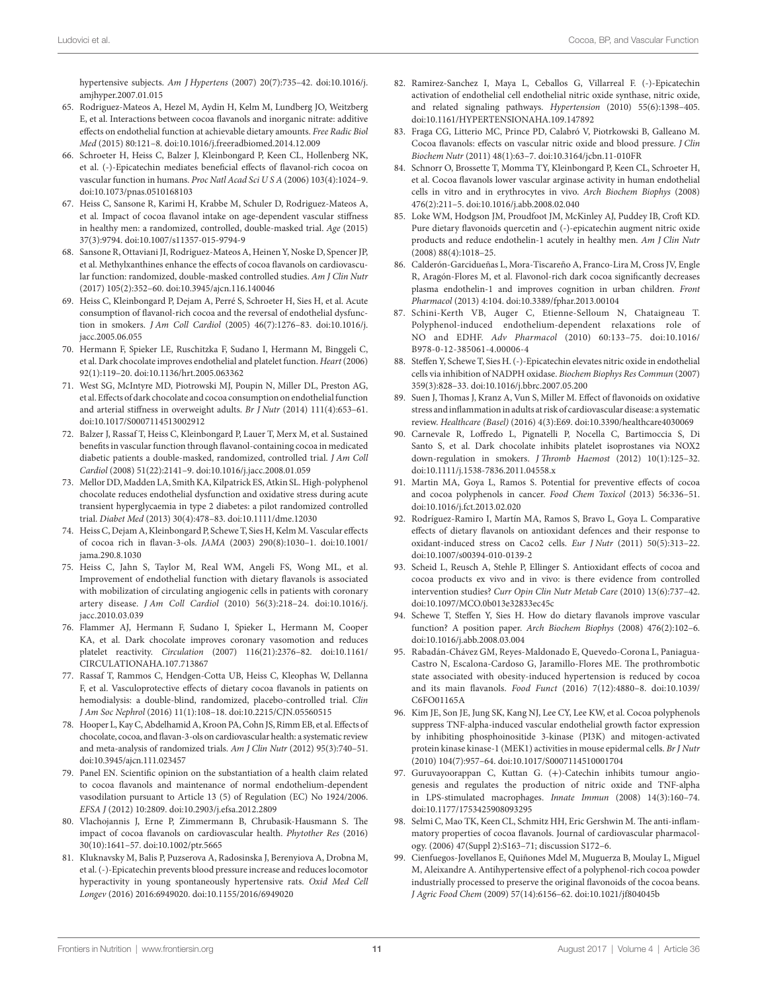<span id="page-10-0"></span>hypertensive subjects. *Am J Hypertens* (2007) 20(7):735–42. doi:[10.1016/j.](https://doi.org/10.1016/j.amjhyper.2007.01.015) [amjhyper.2007.01.015](https://doi.org/10.1016/j.amjhyper.2007.01.015) 

- 65. Rodriguez-Mateos A, Hezel M, Aydin H, Kelm M, Lundberg JO, Weitzberg E, et al. Interactions between cocoa flavanols and inorganic nitrate: additive effects on endothelial function at achievable dietary amounts. *Free Radic Biol Med* (2015) 80:121–8. doi:[10.1016/j.freeradbiomed.2014.12.009](https://doi.org/10.1016/j.freeradbiomed.2014.12.009)
- <span id="page-10-1"></span>66. Schroeter H, Heiss C, Balzer J, Kleinbongard P, Keen CL, Hollenberg NK, et al. (-)-Epicatechin mediates beneficial effects of flavanol-rich cocoa on vascular function in humans. *Proc Natl Acad Sci U S A* (2006) 103(4):1024–9. doi:[10.1073/pnas.0510168103](https://doi.org/10.1073/pnas.0510168103)
- <span id="page-10-2"></span>67. Heiss C, Sansone R, Karimi H, Krabbe M, Schuler D, Rodriguez-Mateos A, et al. Impact of cocoa flavanol intake on age-dependent vascular stiffness in healthy men: a randomized, controlled, double-masked trial. *Age* (2015) 37(3):9794. doi[:10.1007/s11357-015-9794-9](https://doi.org/10.1007/s11357-015-9794-9)
- <span id="page-10-12"></span>68. Sansone R, Ottaviani JI, Rodriguez-Mateos A, Heinen Y, Noske D, Spencer JP, et al. Methylxanthines enhance the effects of cocoa flavanols on cardiovascular function: randomized, double-masked controlled studies. *Am J Clin Nutr* (2017) 105(2):352–60. doi:[10.3945/ajcn.116.140046](https://doi.org/10.3945/ajcn.116.140046)
- <span id="page-10-3"></span>69. Heiss C, Kleinbongard P, Dejam A, Perré S, Schroeter H, Sies H, et al. Acute consumption of flavanol-rich cocoa and the reversal of endothelial dysfunction in smokers. *J Am Coll Cardiol* (2005) 46(7):1276–83. doi:[10.1016/j.](https://doi.org/10.1016/j.jacc.2005.06.055) [jacc.2005.06.055](https://doi.org/10.1016/j.jacc.2005.06.055)
- <span id="page-10-4"></span>70. Hermann F, Spieker LE, Ruschitzka F, Sudano I, Hermann M, Binggeli C, et al. Dark chocolate improves endothelial and platelet function. *Heart* (2006) 92(1):119–20. doi:[10.1136/hrt.2005.063362](https://doi.org/10.1136/hrt.2005.063362)
- <span id="page-10-5"></span>71. West SG, McIntyre MD, Piotrowski MJ, Poupin N, Miller DL, Preston AG, et al. Effects of dark chocolate and cocoa consumption on endothelial function and arterial stiffness in overweight adults. *Br J Nutr* (2014) 111(4):653–61. doi:[10.1017/S0007114513002912](https://doi.org/10.1017/S0007114513002912)
- <span id="page-10-6"></span>72. Balzer J, Rassaf T, Heiss C, Kleinbongard P, Lauer T, Merx M, et al. Sustained benefits in vascular function through flavanol-containing cocoa in medicated diabetic patients a double-masked, randomized, controlled trial. *J Am Coll Cardiol* (2008) 51(22):2141–9. doi:[10.1016/j.jacc.2008.01.059](https://doi.org/10.1016/j.jacc.2008.01.059)
- <span id="page-10-7"></span>73. Mellor DD, Madden LA, Smith KA, Kilpatrick ES, Atkin SL. High-polyphenol chocolate reduces endothelial dysfunction and oxidative stress during acute transient hyperglycaemia in type 2 diabetes: a pilot randomized controlled trial. *Diabet Med* (2013) 30(4):478–83. doi[:10.1111/dme.12030](https://doi.org/10.1111/dme.12030)
- <span id="page-10-8"></span>74. Heiss C, Dejam A, Kleinbongard P, Schewe T, Sies H, Kelm M. Vascular effects of cocoa rich in flavan-3-ols. *JAMA* (2003) 290(8):1030–1. doi[:10.1001/](https://doi.org/10.1001/jama.290.8.1030) [jama.290.8.1030](https://doi.org/10.1001/jama.290.8.1030)
- <span id="page-10-9"></span>75. Heiss C, Jahn S, Taylor M, Real WM, Angeli FS, Wong ML, et al. Improvement of endothelial function with dietary flavanols is associated with mobilization of circulating angiogenic cells in patients with coronary artery disease. *J Am Coll Cardiol* (2010) 56(3):218–24. doi[:10.1016/j.](https://doi.org/10.1016/j.jacc.2010.03.039) [jacc.2010.03.039](https://doi.org/10.1016/j.jacc.2010.03.039)
- <span id="page-10-10"></span>76. Flammer AJ, Hermann F, Sudano I, Spieker L, Hermann M, Cooper KA, et al. Dark chocolate improves coronary vasomotion and reduces platelet reactivity. *Circulation* (2007) 116(21):2376–82. doi[:10.1161/](https://doi.org/10.1161/CIRCULATIONAHA.107.713867) [CIRCULATIONAHA.107.713867](https://doi.org/10.1161/CIRCULATIONAHA.107.713867)
- <span id="page-10-11"></span>77. Rassaf T, Rammos C, Hendgen-Cotta UB, Heiss C, Kleophas W, Dellanna F, et al. Vasculoprotective effects of dietary cocoa flavanols in patients on hemodialysis: a double-blind, randomized, placebo-controlled trial. *Clin J Am Soc Nephrol* (2016) 11(1):108–18. doi[:10.2215/CJN.05560515](https://doi.org/10.2215/CJN.05560515)
- <span id="page-10-13"></span>78. Hooper L, Kay C, Abdelhamid A, Kroon PA, Cohn JS, Rimm EB, et al. Effects of chocolate, cocoa, and flavan-3-ols on cardiovascular health: a systematic review and meta-analysis of randomized trials. *Am J Clin Nutr* (2012) 95(3):740–51. doi:[10.3945/ajcn.111.023457](https://doi.org/10.3945/ajcn.111.023457)
- <span id="page-10-14"></span>79. Panel EN. Scientific opinion on the substantiation of a health claim related to cocoa flavanols and maintenance of normal endothelium-dependent vasodilation pursuant to Article 13 (5) of Regulation (EC) No 1924/2006. *EFSA J* (2012) 10:2809. doi[:10.2903/j.efsa.2012.2809](https://doi.org/10.2903/j.efsa.2012.2809)
- <span id="page-10-15"></span>80. Vlachojannis J, Erne P, Zimmermann B, Chrubasik-Hausmann S. The impact of cocoa flavanols on cardiovascular health. *Phytother Res* (2016) 30(10):1641–57. doi[:10.1002/ptr.5665](https://doi.org/10.1002/ptr.5665)
- <span id="page-10-16"></span>81. Kluknavsky M, Balis P, Puzserova A, Radosinska J, Berenyiova A, Drobna M, et al. (-)-Epicatechin prevents blood pressure increase and reduces locomotor hyperactivity in young spontaneously hypertensive rats. *Oxid Med Cell Longev* (2016) 2016:6949020. doi:[10.1155/2016/6949020](https://doi.org/10.1155/2016/6949020)
- <span id="page-10-17"></span>82. Ramirez-Sanchez I, Maya L, Ceballos G, Villarreal F. (-)-Epicatechin activation of endothelial cell endothelial nitric oxide synthase, nitric oxide, and related signaling pathways. *Hypertension* (2010) 55(6):1398–405. doi:[10.1161/HYPERTENSIONAHA.109.147892](https://doi.org/10.1161/HYPERTENSIONAHA.109.147892)
- <span id="page-10-18"></span>83. Fraga CG, Litterio MC, Prince PD, Calabró V, Piotrkowski B, Galleano M. Cocoa flavanols: effects on vascular nitric oxide and blood pressure. *J Clin Biochem Nutr* (2011) 48(1):63–7. doi[:10.3164/jcbn.11-010FR](https://doi.org/10.3164/jcbn.11-010FR)
- <span id="page-10-19"></span>84. Schnorr O, Brossette T, Momma TY, Kleinbongard P, Keen CL, Schroeter H, et al. Cocoa flavanols lower vascular arginase activity in human endothelial cells in vitro and in erythrocytes in vivo. *Arch Biochem Biophys* (2008) 476(2):211–5. doi:[10.1016/j.abb.2008.02.040](https://doi.org/10.1016/j.abb.2008.02.040)
- <span id="page-10-20"></span>85. Loke WM, Hodgson JM, Proudfoot JM, McKinley AJ, Puddey IB, Croft KD. Pure dietary flavonoids quercetin and (-)-epicatechin augment nitric oxide products and reduce endothelin-1 acutely in healthy men. *Am J Clin Nutr* (2008) 88(4):1018–25.
- <span id="page-10-21"></span>86. Calderón-Garcidueñas L, Mora-Tiscareño A, Franco-Lira M, Cross JV, Engle R, Aragón-Flores M, et al. Flavonol-rich dark cocoa significantly decreases plasma endothelin-1 and improves cognition in urban children. *Front Pharmacol* (2013) 4:104. doi[:10.3389/fphar.2013.00104](https://doi.org/10.3389/fphar.2013.00104)
- <span id="page-10-22"></span>87. Schini-Kerth VB, Auger C, Etienne-Selloum N, Chataigneau T. Polyphenol-induced endothelium-dependent relaxations role of NO and EDHF. *Adv Pharmacol* (2010) 60:133–75. doi:[10.1016/](https://doi.org/10.1016/B978-0-12-385061-4.00006-4) [B978-0-12-385061-4.00006-4](https://doi.org/10.1016/B978-0-12-385061-4.00006-4)
- <span id="page-10-23"></span>88. Steffen Y, Schewe T, Sies H. (-)-Epicatechin elevates nitric oxide in endothelial cells via inhibition of NADPH oxidase. *Biochem Biophys Res Commun* (2007) 359(3):828–33. doi[:10.1016/j.bbrc.2007.05.200](https://doi.org/10.1016/j.bbrc.2007.05.200)
- <span id="page-10-24"></span>89. Suen J, Thomas J, Kranz A, Vun S, Miller M. Effect of flavonoids on oxidative stress and inflammation in adults at risk of cardiovascular disease: a systematic review. *Healthcare (Basel)* (2016) 4(3):E69. doi[:10.3390/healthcare4030069](https://doi.org/10.3390/healthcare4030069)
- <span id="page-10-25"></span>90. Carnevale R, Loffredo L, Pignatelli P, Nocella C, Bartimoccia S, Di Santo S, et al. Dark chocolate inhibits platelet isoprostanes via NOX2 down-regulation in smokers. *J Thromb Haemost* (2012) 10(1):125–32. doi:[10.1111/j.1538-7836.2011.04558.x](https://doi.org/10.1111/j.1538-7836.2011.04558.x)
- <span id="page-10-26"></span>91. Martin MA, Goya L, Ramos S. Potential for preventive effects of cocoa and cocoa polyphenols in cancer. *Food Chem Toxicol* (2013) 56:336–51. doi:[10.1016/j.fct.2013.02.020](https://doi.org/10.1016/j.fct.2013.02.020)
- <span id="page-10-27"></span>92. Rodríguez-Ramiro I, Martín MA, Ramos S, Bravo L, Goya L. Comparative effects of dietary flavanols on antioxidant defences and their response to oxidant-induced stress on Caco2 cells. *Eur J Nutr* (2011) 50(5):313–22. doi:[10.1007/s00394-010-0139-2](https://doi.org/10.1007/s00394-010-0139-2)
- <span id="page-10-28"></span>93. Scheid L, Reusch A, Stehle P, Ellinger S. Antioxidant effects of cocoa and cocoa products ex vivo and in vivo: is there evidence from controlled intervention studies? *Curr Opin Clin Nutr Metab Care* (2010) 13(6):737–42. doi:[10.1097/MCO.0b013e32833ec45c](https://doi.org/10.1097/MCO.0b013e32833ec45c)
- <span id="page-10-29"></span>94. Schewe T, Steffen Y, Sies H. How do dietary flavanols improve vascular function? A position paper. *Arch Biochem Biophys* (2008) 476(2):102–6. doi:[10.1016/j.abb.2008.03.004](https://doi.org/10.1016/j.abb.2008.03.004)
- <span id="page-10-30"></span>95. Rabadán-Chávez GM, Reyes-Maldonado E, Quevedo-Corona L, Paniagua-Castro N, Escalona-Cardoso G, Jaramillo-Flores ME. The prothrombotic state associated with obesity-induced hypertension is reduced by cocoa and its main flavanols. *Food Funct* (2016) 7(12):4880–8. doi:[10.1039/](https://doi.org/10.1039/C6FO01165A) [C6FO01165A](https://doi.org/10.1039/C6FO01165A)
- <span id="page-10-31"></span>96. Kim JE, Son JE, Jung SK, Kang NJ, Lee CY, Lee KW, et al. Cocoa polyphenols suppress TNF-alpha-induced vascular endothelial growth factor expression by inhibiting phosphoinositide 3-kinase (PI3K) and mitogen-activated protein kinase kinase-1 (MEK1) activities in mouse epidermal cells. *Br J Nutr* (2010) 104(7):957–64. doi:[10.1017/S0007114510001704](https://doi.org/10.1017/S0007114510001704)
- 97. Guruvayoorappan C, Kuttan G. (+)-Catechin inhibits tumour angiogenesis and regulates the production of nitric oxide and TNF-alpha in LPS-stimulated macrophages. *Innate Immun* (2008) 14(3):160–74. doi:[10.1177/1753425908093295](https://doi.org/10.1177/1753425908093295)
- <span id="page-10-32"></span>98. Selmi C, Mao TK, Keen CL, Schmitz HH, Eric Gershwin M. The anti-inflammatory properties of cocoa flavanols. Journal of cardiovascular pharmacology. (2006) 47(Suppl 2):S163–71; discussion S172–6.
- <span id="page-10-33"></span>99. Cienfuegos-Jovellanos E, Quiñones Mdel M, Muguerza B, Moulay L, Miguel M, Aleixandre A. Antihypertensive effect of a polyphenol-rich cocoa powder industrially processed to preserve the original flavonoids of the cocoa beans. *J Agric Food Chem* (2009) 57(14):6156–62. doi[:10.1021/jf804045b](https://doi.org/10.1021/jf804045b)